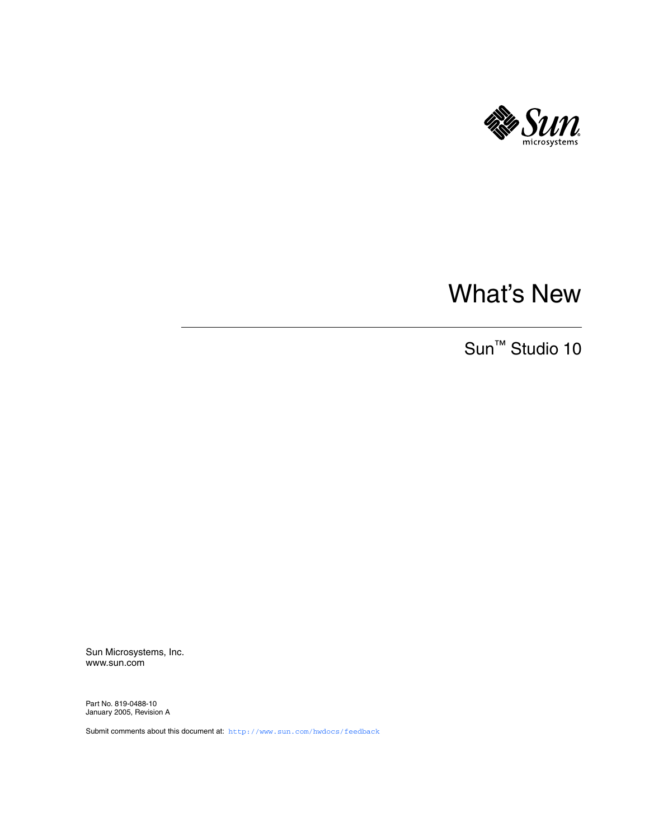

# What's New

Sun™ Studio 10

Sun Microsystems, Inc. www.sun.com

Part No. 819-0488-10 January 2005, Revision A

Submit comments about this document at: <http://www.sun.com/hwdocs/feedback>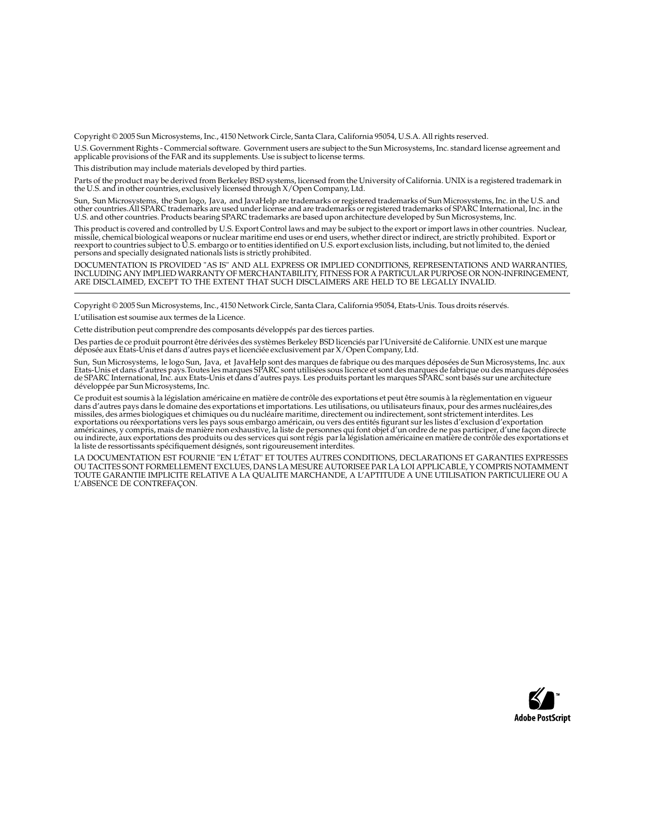Copyright © 2005 Sun Microsystems, Inc., 4150 Network Circle, Santa Clara, California 95054, U.S.A. All rights reserved.

U.S. Government Rights - Commercial software. Government users are subject to the Sun Microsystems, Inc. standard license agreement and applicable provisions of the FAR and its supplements. Use is subject to license terms.

This distribution may include materials developed by third parties.

Parts of the product may be derived from Berkeley BSD systems, licensed from the University of California. UNIX is a registered trademark in the U.S. and in other countries, exclusively licensed through X/Open Company, Ltd.

Sun, Sun Microsystems, the Sun logo, Java, and JavaHelp are trademarks or registered trademarks of Sun Microsystems, Inc. in the U.S. and other countries.All SPARC trademarks are used under license and are trademarks or registered trademarks of SPARC International, Inc. in the U.S. and other countries. Products bearing SPARC trademarks are based upon architecture developed by Sun Microsystems, Inc.

This product is covered and controlled by U.S. Export Control laws and may be subject to the export or import laws in other countries. Nuclear, missile, chemical biological weapons or nuclear maritime end uses or end users, whether direct or indirect, are strictly prohibited. Export or<br>reexport to countries subject to U.S. embargo or to entities identified on U.S. persons and specially designated nationals lists is strictly prohibited.

DOCUMENTATION IS PROVIDED "AS IS" AND ALL EXPRESS OR IMPLIED CONDITIONS, REPRESENTATIONS AND WARRANTIES, INCLUDING ANY IMPLIED WARRANTY OF MERCHANTABILITY, FITNESS FOR A PARTICULAR PURPOSE OR NON-INFRINGEMENT, ARE DISCLAIMED, EXCEPT TO THE EXTENT THAT SUCH DISCLAIMERS ARE HELD TO BE LEGALLY INVALID.

Copyright © 2005 Sun Microsystems, Inc., 4150 Network Circle, Santa Clara, California 95054, Etats-Unis. Tous droits réservés.

L'utilisation est soumise aux termes de la Licence.

Cette distribution peut comprendre des composants développés par des tierces parties.

Des parties de ce produit pourront être dérivées des systèmes Berkeley BSD licenciés par l'Université de Californie. UNIX est une marque déposée aux Etats-Unis et dans d'autres pays et licenciée exclusivement par X/Open Co

Sun, Sun Microsystems, le logo Sun, Java, et JavaHelp sont des marques de fabrique ou des marques déposées de Sun Microsystems, Inc. aux<br>Etats-Unis et dans d'autres pays.Toutes les marques SPARC sont utilisées sous licence de SPARC International, Inc. aux Etats-Unis et dans d'autres pays. Les produits portant les marques SPARC sont basés sur une architecture développée par Sun Microsystems, Inc.

Ce produit est soumis à la législation américaine en matière de contrôle des exportations et peut être soumis à la règlementation en vigueur<br>dans d'autres pays dans le domaine des exportations et importations. Les utilisat missiles, des armes biologiques et chimiques ou du nucléaire maritime, directement ou indirectement, sont strictement interdites. Les américaines, y compris, mais de manière non exhaustive, la liste de personnes qui font objet d'un ordre de ne pas participer, d'une façon directe ou indirecte, aux exportations des produits ou des services qui sont régis par la législation américaine en matière de contrôle des exportations et la liste de ressortissants spécifiquement désignés, sont rigoureusement interdites.

LA DOCUMENTATION EST FOURNIE "EN L'ÉTAT" ET TOUTES AUTRES CONDITIONS, DECLARATIONS ET GARANTIES EXPRESSES OU TACITES SONT FORMELLEMENT EXCLUES, DANS LA MESURE AUTORISEE PAR LA LOI APPLICABLE, Y COMPRIS NOTAMMENT TOUTE GARANTIE IMPLICITE RELATIVE A LA QUALITE MARCHANDE, A L'APTITUDE A UNE UTILISATION PARTICULIERE OU A L'ABSENCE DE CONTREFAÇON.

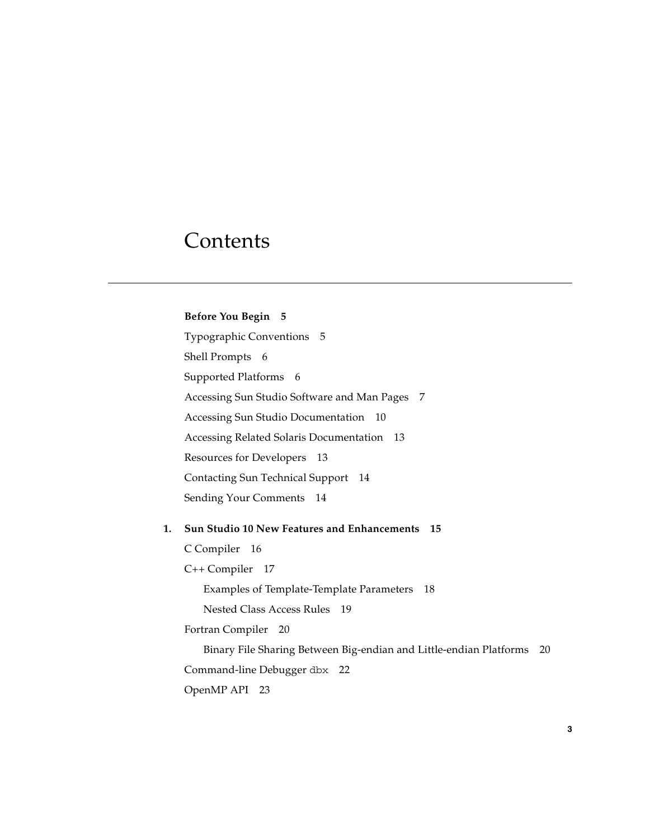#### Contents

**[Before You Begin](#page-4-0) 5**

[Typographic Conventions](#page-4-1) 5 [Shell Prompts](#page-5-0) 6 [Supported Platforms](#page-5-1) 6 [Accessing Sun Studio Software and Man Pages](#page-6-0) 7 [Accessing Sun Studio Documentation](#page-9-0) 10 [Accessing Related Solaris Documentation](#page-12-0) 13

[Resources for Developers](#page-12-1) 13

[Contacting Sun Technical Support](#page-13-0) 14

[Sending Your Comments](#page-13-1) 14

#### **1. [Sun Studio 10 New Features and Enhancements](#page-14-0) 15**

[C Compiler](#page-15-0) 16 [C++ Compiler](#page-16-0) 17 [Examples of Template-Template Parameters](#page-17-0) 18 [Nested Class Access Rules](#page-18-0) 19 [Fortran Compiler](#page-19-0) 20

[Binary File Sharing Between Big-endian and Little-endian Platforms](#page-19-1) 20

[Command-line Debugger](#page-21-0) dbx 22

[OpenMP API](#page-22-0) 23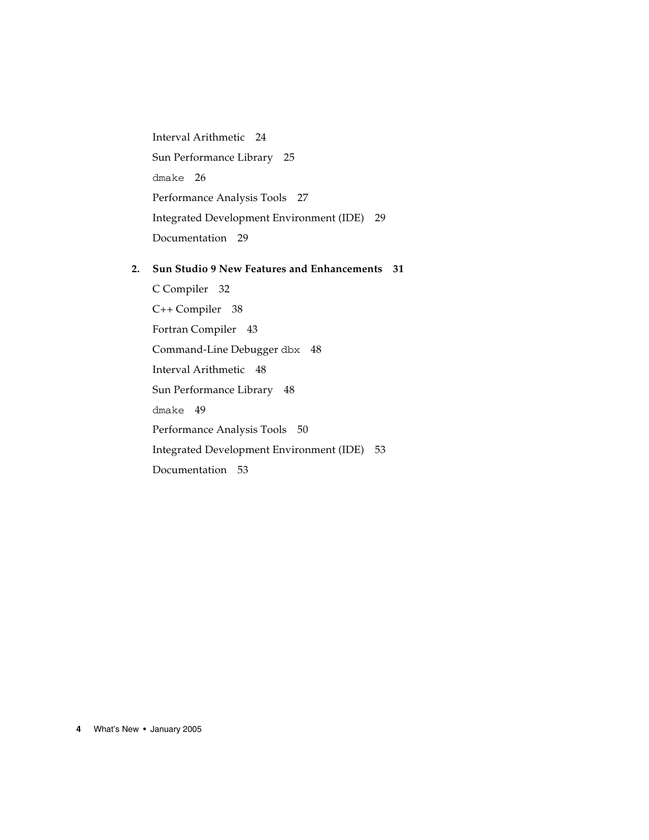[Interval Arithmetic](#page-23-0) 24 [Sun Performance Library](#page-24-0) 25 [dmake](#page-25-0) 26 [Performance Analysis Tools](#page-26-0) 27 [Integrated Development Environment \(IDE\)](#page-28-0) 29 [Documentation](#page-28-1) 29

#### **2. [Sun Studio 9 New Features and Enhancements](#page-30-0) 31**

[C Compiler](#page-31-0) 32 [C++ Compiler](#page-37-0) 38 [Fortran Compiler](#page-42-0) 43 [Command-Line Debugger](#page-47-0) dbx 48 [Interval Arithmetic](#page-47-1) 48 [Sun Performance Library](#page-47-2) 48 [dmake](#page-48-0) 49 [Performance Analysis Tools](#page-49-0) 50 [Integrated Development Environment \(IDE\)](#page-52-0) 53 [Documentation](#page-52-1) 53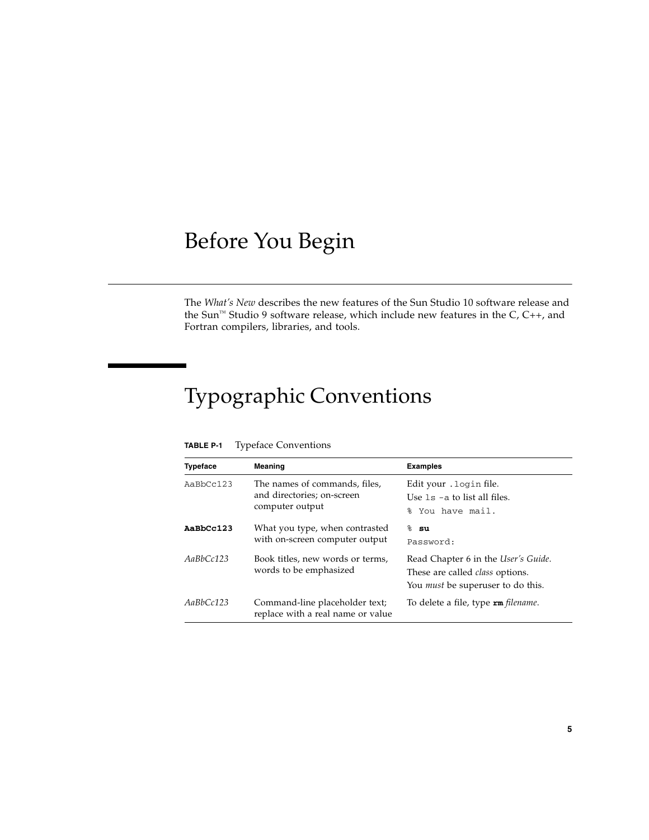## <span id="page-4-0"></span>Before You Begin

The *What's New* describes the new features of the Sun Studio 10 software release and the Sun™ Studio 9 software release, which include new features in the C, C++, and Fortran compilers, libraries, and tools.

# <span id="page-4-1"></span>Typographic Conventions

| <b>Typeface</b> | Meaning                                                                        | <b>Examples</b>                                                                                                           |
|-----------------|--------------------------------------------------------------------------------|---------------------------------------------------------------------------------------------------------------------------|
| $A$ a $BbCc123$ | The names of commands, files,<br>and directories; on-screen<br>computer output | Edit your . login file.<br>Use $1s$ -a to list all files.<br>% You have mail.                                             |
| AaBbCc123       | What you type, when contrasted<br>with on-screen computer output               | $%$ su<br>Password:                                                                                                       |
| AaBbCc123       | Book titles, new words or terms,<br>words to be emphasized                     | Read Chapter 6 in the User's Guide.<br>These are called <i>class</i> options.<br>You <i>must</i> be superuser to do this. |
| AaBbCc123       | Command-line placeholder text;<br>replace with a real name or value            | To delete a file, type <b>rm</b> <i>filename</i> .                                                                        |

#### **TABLE P-1** Typeface Conventions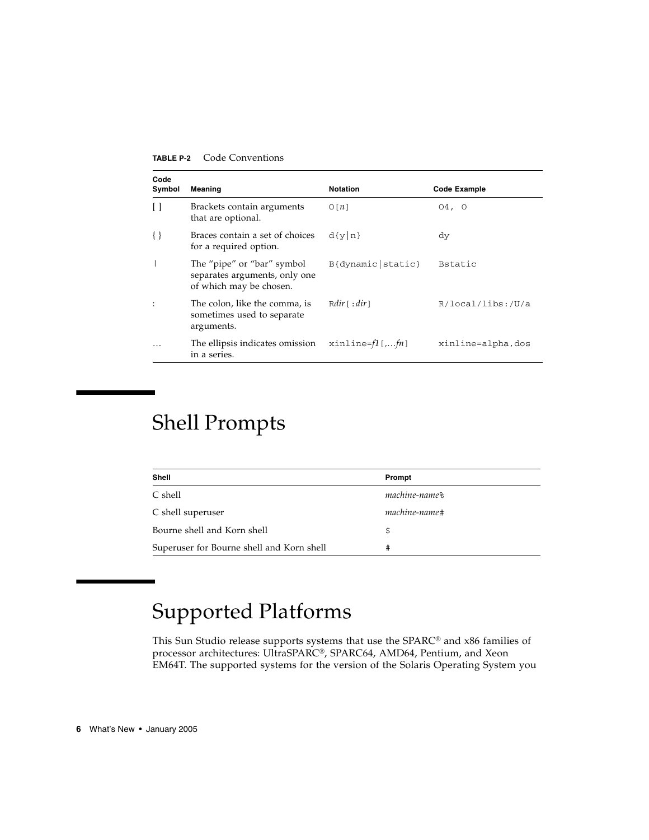| Code<br>Symbol | <b>Meaning</b>                                                                         | <b>Notation</b>        | <b>Code Example</b> |
|----------------|----------------------------------------------------------------------------------------|------------------------|---------------------|
| $\Box$         | Brackets contain arguments<br>that are optional.                                       | O[n]                   | 04,0                |
| $\{\}$         | Braces contain a set of choices<br>for a required option.                              | $d\{y n\}$             | dy                  |
|                | The "pipe" or "bar" symbol<br>separates arguments, only one<br>of which may be chosen. | $B$ {dynamic static}   | Bstatic             |
|                | The colon, like the comma, is<br>sometimes used to separate<br>arguments.              | $Rdir$ : dir $\vert$   | R/local/libs://U/a  |
|                | The ellipsis indicates omission<br>in a series.                                        | xinline= $f1$ [ $fn$ ] | xinline=alpha,dos   |

## <span id="page-5-0"></span>Shell Prompts

| <b>Shell</b>                              | Prompt        |
|-------------------------------------------|---------------|
| C shell                                   | machine-name% |
| C shell superuser                         | machine-name# |
| Bourne shell and Korn shell               | Ŝ             |
| Superuser for Bourne shell and Korn shell | #             |

# <span id="page-5-1"></span>Supported Platforms

This Sun Studio release supports systems that use the SPARC® and x86 families of processor architectures: UltraSPARC®, SPARC64, AMD64, Pentium, and Xeon EM64T. The supported systems for the version of the Solaris Operating System you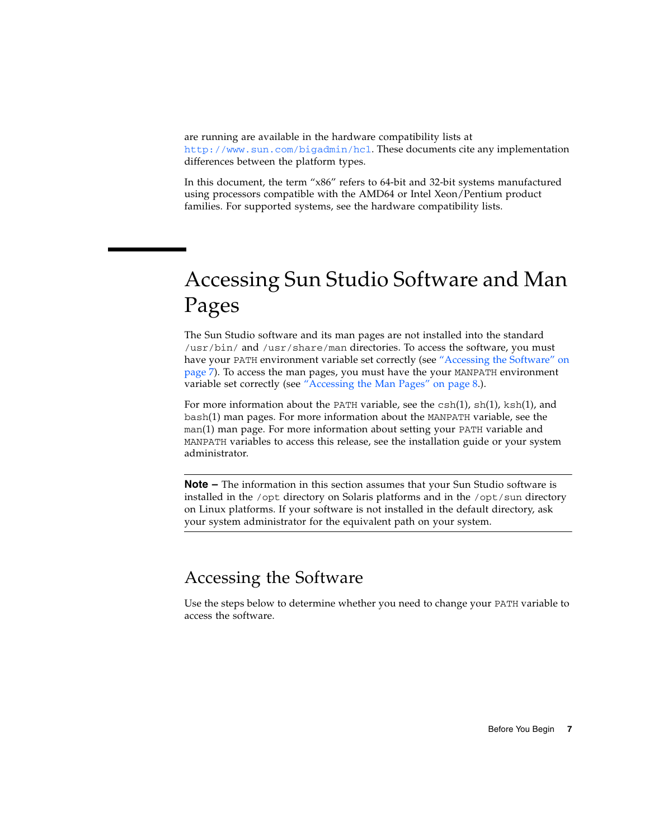are running are available in the hardware compatibility lists at <http://www.sun.com/bigadmin/hcl>. These documents cite any implementation differences between the platform types.

In this document, the term "x86" refers to 64-bit and 32-bit systems manufactured using processors compatible with the AMD64 or Intel Xeon/Pentium product families. For supported systems, see the hardware compatibility lists.

# <span id="page-6-0"></span>Accessing Sun Studio Software and Man Pages

The Sun Studio software and its man pages are not installed into the standard /usr/bin/ and /usr/share/man directories. To access the software, you must have your PATH environment variable set correctly (see ["Accessing the Software" on](#page-6-1)  [page](#page-6-1) 7). To access the man pages, you must have the your MANPATH environment variable set correctly (see ["Accessing the Man Pages" on page](#page-7-0) 8.).

For more information about the PATH variable, see the  $csh(1)$ ,  $sh(1)$ ,  $ksh(1)$ , and bash(1) man pages. For more information about the MANPATH variable, see the man(1) man page. For more information about setting your PATH variable and MANPATH variables to access this release, see the installation guide or your system administrator.

**Note –** The information in this section assumes that your Sun Studio software is installed in the /opt directory on Solaris platforms and in the /opt/sun directory on Linux platforms. If your software is not installed in the default directory, ask your system administrator for the equivalent path on your system.

#### <span id="page-6-1"></span>Accessing the Software

Use the steps below to determine whether you need to change your PATH variable to access the software.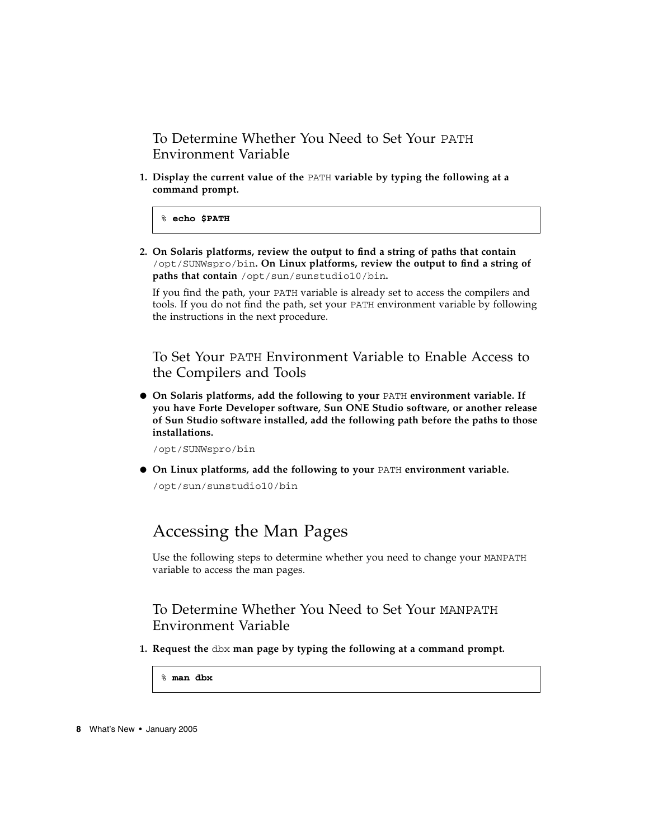To Determine Whether You Need to Set Your PATH Environment Variable

**1. Display the current value of the** PATH **variable by typing the following at a command prompt.**

% **echo \$PATH**

**2. On Solaris platforms, review the output to find a string of paths that contain**  /opt/SUNWspro/bin**. On Linux platforms, review the output to find a string of paths that contain** /opt/sun/sunstudio10/bin**.**

If you find the path, your PATH variable is already set to access the compilers and tools. If you do not find the path, set your PATH environment variable by following the instructions in the next procedure.

To Set Your PATH Environment Variable to Enable Access to the Compilers and Tools

● **On Solaris platforms, add the following to your** PATH **environment variable. If you have Forte Developer software, Sun ONE Studio software, or another release of Sun Studio software installed, add the following path before the paths to those installations.**

/opt/SUNWspro/bin

● **On Linux platforms, add the following to your** PATH **environment variable.**

/opt/sun/sunstudio10/bin

### <span id="page-7-0"></span>Accessing the Man Pages

Use the following steps to determine whether you need to change your MANPATH variable to access the man pages.

#### To Determine Whether You Need to Set Your MANPATH Environment Variable

**1. Request the** dbx **man page by typing the following at a command prompt.**

% **man dbx**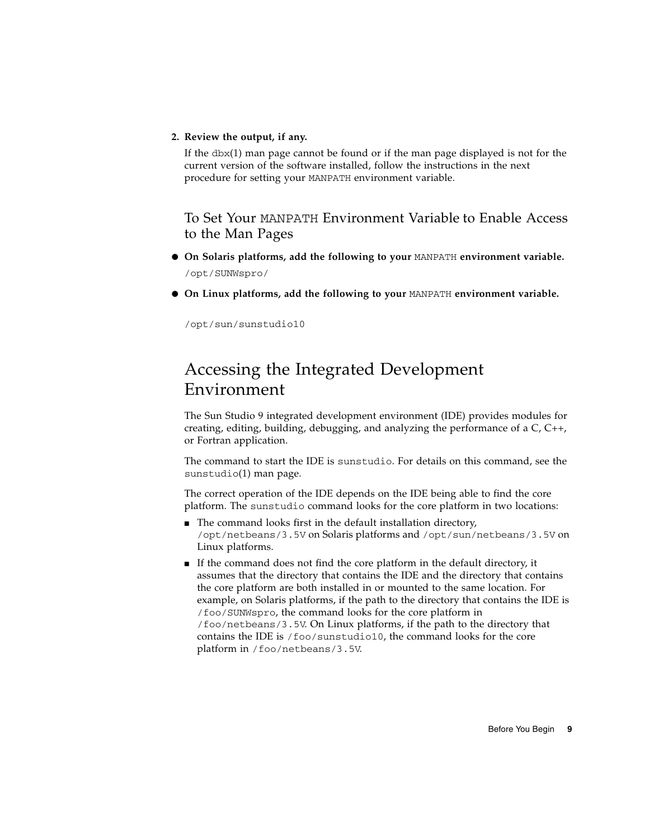#### **2. Review the output, if any.**

If the dbx(1) man page cannot be found or if the man page displayed is not for the current version of the software installed, follow the instructions in the next procedure for setting your MANPATH environment variable.

To Set Your MANPATH Environment Variable to Enable Access to the Man Pages

- **On Solaris platforms, add the following to your** MANPATH **environment variable.** /opt/SUNWspro/
- **On Linux platforms, add the following to your** MANPATH **environment variable.**

/opt/sun/sunstudio10

#### Accessing the Integrated Development Environment

The Sun Studio 9 integrated development environment (IDE) provides modules for creating, editing, building, debugging, and analyzing the performance of a  $C$ ,  $C$ ++, or Fortran application.

The command to start the IDE is sunstudio. For details on this command, see the sunstudio(1) man page.

The correct operation of the IDE depends on the IDE being able to find the core platform. The sunstudio command looks for the core platform in two locations:

- The command looks first in the default installation directory, /opt/netbeans/3.5V on Solaris platforms and /opt/sun/netbeans/3.5V on Linux platforms.
- If the command does not find the core platform in the default directory, it assumes that the directory that contains the IDE and the directory that contains the core platform are both installed in or mounted to the same location. For example, on Solaris platforms, if the path to the directory that contains the IDE is /foo/SUNWspro, the command looks for the core platform in /foo/netbeans/3.5V. On Linux platforms, if the path to the directory that contains the IDE is /foo/sunstudio10, the command looks for the core platform in /foo/netbeans/3.5V.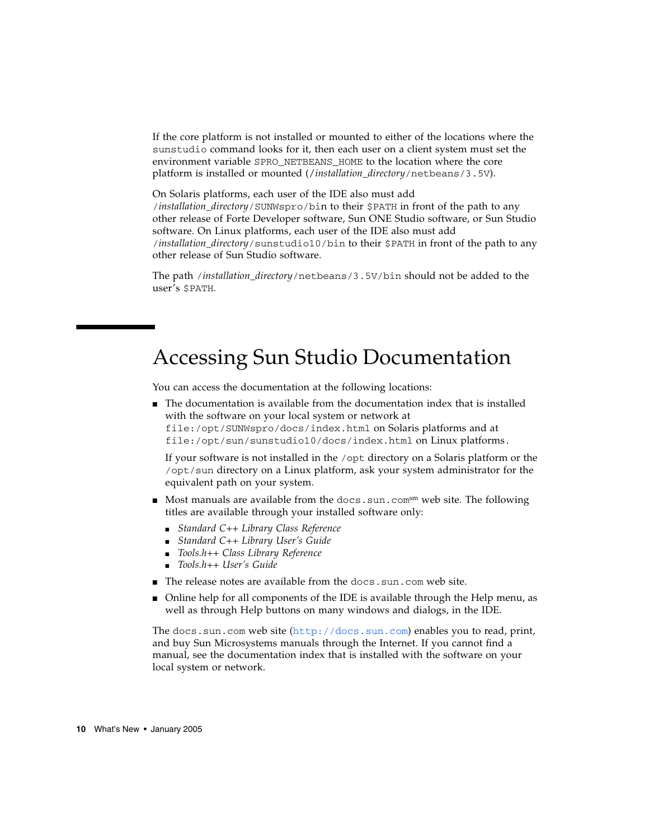If the core platform is not installed or mounted to either of the locations where the sunstudio command looks for it, then each user on a client system must set the environment variable SPRO\_NETBEANS\_HOME to the location where the core platform is installed or mounted (/*installation\_directory*/netbeans/3.5V).

On Solaris platforms, each user of the IDE also must add /*installation\_directory*/SUNWspro/bin to their \$PATH in front of the path to any other release of Forte Developer software, Sun ONE Studio software, or Sun Studio software. On Linux platforms, each user of the IDE also must add /*installation\_directory*/sunstudio10/bin to their \$PATH in front of the path to any other release of Sun Studio software.

The path /*installation\_directory*/netbeans/3.5V/bin should not be added to the user's \$PATH.

## <span id="page-9-0"></span>Accessing Sun Studio Documentation

You can access the documentation at the following locations:

■ The documentation is available from the documentation index that is installed with the software on your local system or network at file:/opt/SUNWspro/docs/index.html on Solaris platforms and at file:/opt/sun/sunstudio10/docs/index.html on Linux platforms.

If your software is not installed in the /opt directory on a Solaris platform or the /opt/sun directory on a Linux platform, ask your system administrator for the equivalent path on your system.

- **■** Most manuals are available from the docs  $\text{sum}$  com<sup>sm</sup> web site. The following titles are available through your installed software only:
	- *Standard C++ Library Class Reference*
	- *Standard C++ Library User's Guide*
	- *Tools.h++ Class Library Reference*
	- *Tools.h++ User's Guide*
- The release notes are available from the docs.sun.com web site.
- Online help for all components of the IDE is available through the Help menu, as well as through Help buttons on many windows and dialogs, in the IDE.

The docs.sun.com web site (<http://docs.sun.com>) enables you to read, print, and buy Sun Microsystems manuals through the Internet. If you cannot find a manual, see the documentation index that is installed with the software on your local system or network.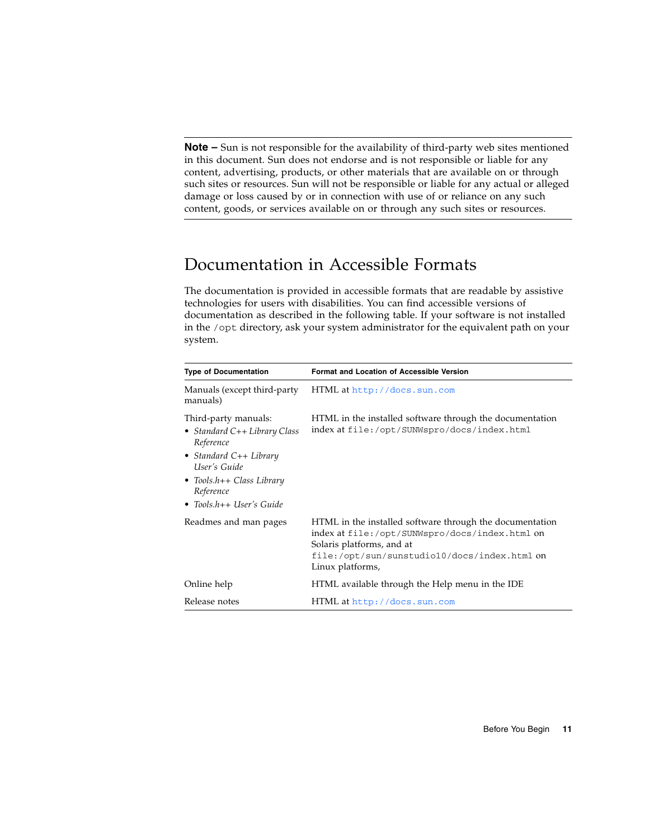**Note –** Sun is not responsible for the availability of third-party web sites mentioned in this document. Sun does not endorse and is not responsible or liable for any content, advertising, products, or other materials that are available on or through such sites or resources. Sun will not be responsible or liable for any actual or alleged damage or loss caused by or in connection with use of or reliance on any such content, goods, or services available on or through any such sites or resources.

#### Documentation in Accessible Formats

The documentation is provided in accessible formats that are readable by assistive technologies for users with disabilities. You can find accessible versions of documentation as described in the following table. If your software is not installed in the /opt directory, ask your system administrator for the equivalent path on your system.

| <b>Type of Documentation</b>                                                                                                                                                              | <b>Format and Location of Accessible Version</b>                                                                                                                                                            |  |
|-------------------------------------------------------------------------------------------------------------------------------------------------------------------------------------------|-------------------------------------------------------------------------------------------------------------------------------------------------------------------------------------------------------------|--|
| Manuals (except third-party<br>manuals)                                                                                                                                                   | HTML at http://docs.sun.com                                                                                                                                                                                 |  |
| Third-party manuals:<br>• Standard C++ Library Class<br>Reference<br>• Standard $C_{++}$ Library<br>User's Guide<br>• Tools.h++ Class Library<br>Reference<br>• Tools. $h++$ User's Guide | HTML in the installed software through the documentation<br>index at file:/opt/SUNWspro/docs/index.html                                                                                                     |  |
| Readmes and man pages                                                                                                                                                                     | HTML in the installed software through the documentation<br>index at file:/opt/SUNWspro/docs/index.html on<br>Solaris platforms, and at<br>file:/opt/sun/sunstudio10/docs/index.html on<br>Linux platforms, |  |
| Online help                                                                                                                                                                               | HTML available through the Help menu in the IDE                                                                                                                                                             |  |
| Release notes                                                                                                                                                                             | HTML at http://docs.sun.com                                                                                                                                                                                 |  |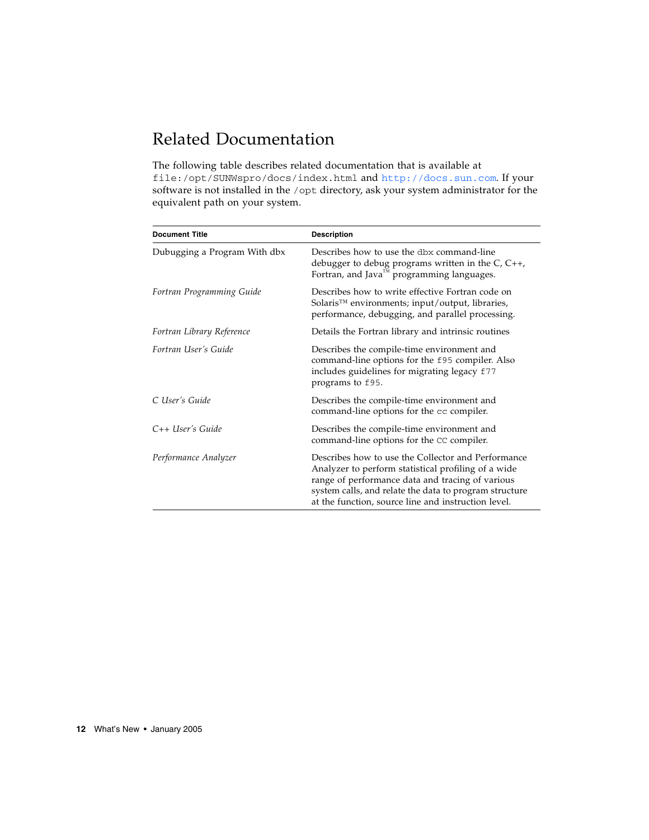### Related Documentation

The following table describes related documentation that is available at file:/opt/SUNWspro/docs/index.html and <http://docs.sun.com>. If your software is not installed in the /opt directory, ask your system administrator for the equivalent path on your system.

| <b>Document Title</b>        | <b>Description</b>                                                                                                                                                                                                                                                              |  |  |
|------------------------------|---------------------------------------------------------------------------------------------------------------------------------------------------------------------------------------------------------------------------------------------------------------------------------|--|--|
| Dubugging a Program With dbx | Describes how to use the dbx command-line<br>debugger to debug programs written in the $C, C_{++}$ ,<br>Fortran, and Java <sup>™</sup> programming languages.                                                                                                                   |  |  |
| Fortran Programming Guide    | Describes how to write effective Fortran code on<br>Solaris <sup>TM</sup> environments; input/output, libraries,<br>performance, debugging, and parallel processing.                                                                                                            |  |  |
| Fortran Library Reference    | Details the Fortran library and intrinsic routines                                                                                                                                                                                                                              |  |  |
| Fortran User's Guide         | Describes the compile-time environment and<br>command-line options for the f95 compiler. Also<br>includes guidelines for migrating legacy f77<br>programs to f95.                                                                                                               |  |  |
| C User's Guide               | Describes the compile-time environment and<br>command-line options for the cc compiler.                                                                                                                                                                                         |  |  |
| $C_{++}$ User's Guide        | Describes the compile-time environment and<br>command-line options for the CC compiler.                                                                                                                                                                                         |  |  |
| Performance Analyzer         | Describes how to use the Collector and Performance<br>Analyzer to perform statistical profiling of a wide.<br>range of performance data and tracing of various<br>system calls, and relate the data to program structure<br>at the function, source line and instruction level. |  |  |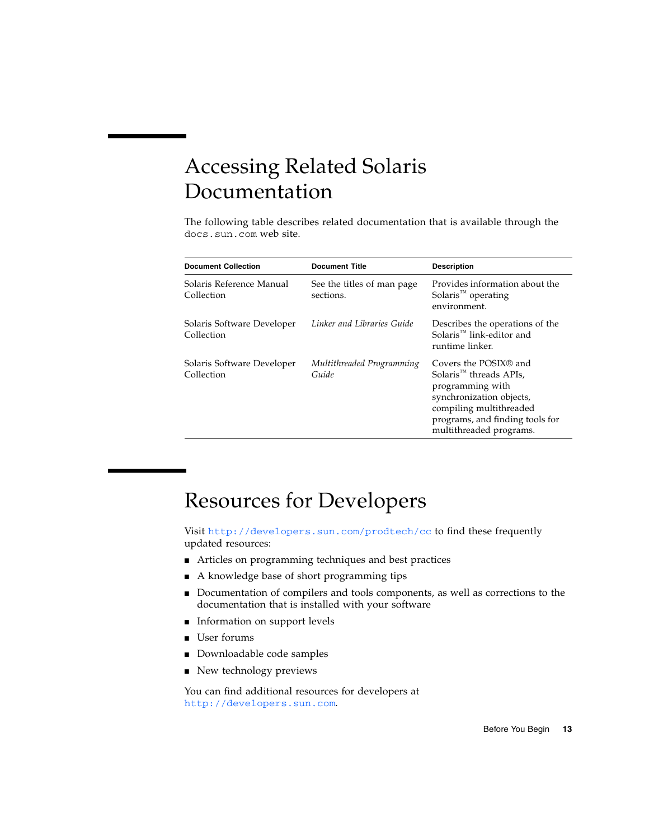# <span id="page-12-0"></span>Accessing Related Solaris Documentation

The following table describes related documentation that is available through the docs.sun.com web site.

| <b>Document Collection</b>               | <b>Document Title</b>                   | <b>Description</b>                                                                                                                                                                                                            |
|------------------------------------------|-----------------------------------------|-------------------------------------------------------------------------------------------------------------------------------------------------------------------------------------------------------------------------------|
| Solaris Reference Manual<br>Collection   | See the titles of man page<br>sections. | Provides information about the<br>Solaris <sup>™</sup> operating<br>environment.                                                                                                                                              |
| Solaris Software Developer<br>Collection | Linker and Libraries Guide              | Describes the operations of the<br>Solaris <sup><math>m</math></sup> link-editor and<br>runtime linker.                                                                                                                       |
| Solaris Software Developer<br>Collection | Multithreaded Programming<br>Guide      | Covers the POSIX <sup>®</sup> and<br>Solaris <sup><math>M</math></sup> threads APIs,<br>programming with<br>synchronization objects,<br>compiling multithreaded<br>programs, and finding tools for<br>multithreaded programs. |

### <span id="page-12-1"></span>Resources for Developers

Visit <http://developers.sun.com/prodtech/cc> to find these frequently updated resources:

- Articles on programming techniques and best practices
- A knowledge base of short programming tips
- Documentation of compilers and tools components, as well as corrections to the documentation that is installed with your software
- Information on support levels
- User forums
- Downloadable code samples
- New technology previews

You can find additional resources for developers at <http://developers.sun.com>.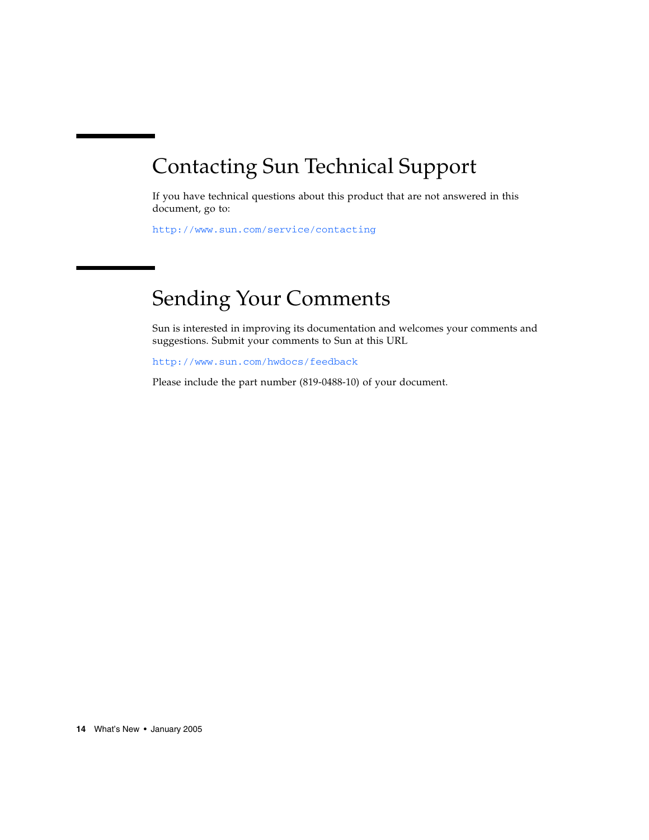# <span id="page-13-0"></span>Contacting Sun Technical Support

If you have technical questions about this product that are not answered in this document, go to:

<http://www.sun.com/service/contacting>

# <span id="page-13-1"></span>Sending Your Comments

Sun is interested in improving its documentation and welcomes your comments and suggestions. Submit your comments to Sun at this URL

<http://www.sun.com/hwdocs/feedback>

Please include the part number (819-0488-10) of your document.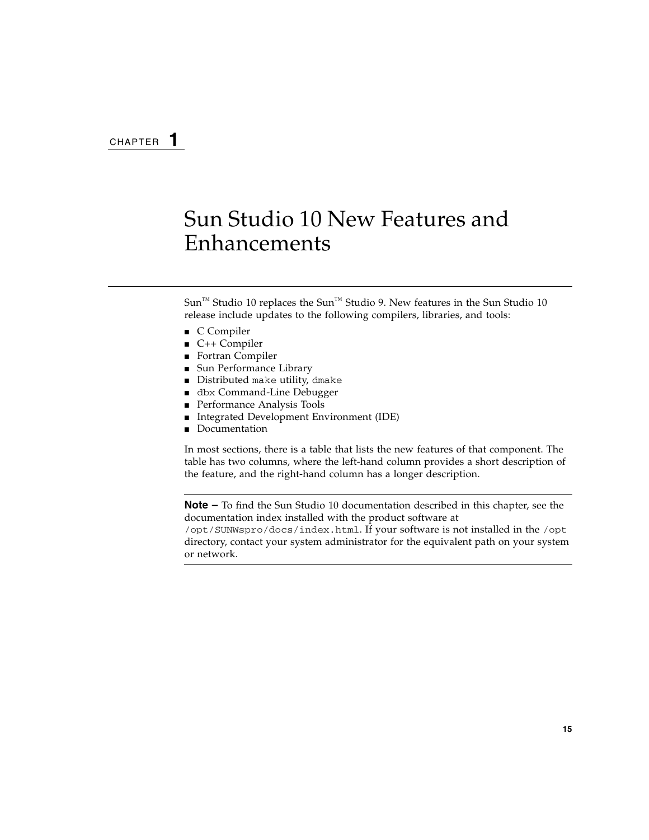<span id="page-14-0"></span>CHAPTER **1**

## Sun Studio 10 New Features and Enhancements

Sun<sup>™</sup> Studio 10 replaces the Sun<sup>™</sup> Studio 9. New features in the Sun Studio 10 release include updates to the following compilers, libraries, and tools:

- C Compiler
- C++ Compiler
- Fortran Compiler
- Sun Performance Library
- Distributed make utility, dmake
- dbx Command-Line Debugger
- Performance Analysis Tools
- Integrated Development Environment (IDE)
- Documentation

In most sections, there is a table that lists the new features of that component. The table has two columns, where the left-hand column provides a short description of the feature, and the right-hand column has a longer description.

**Note –** To find the Sun Studio 10 documentation described in this chapter, see the documentation index installed with the product software at

/opt/SUNWspro/docs/index.html. If your software is not installed in the /opt directory, contact your system administrator for the equivalent path on your system or network.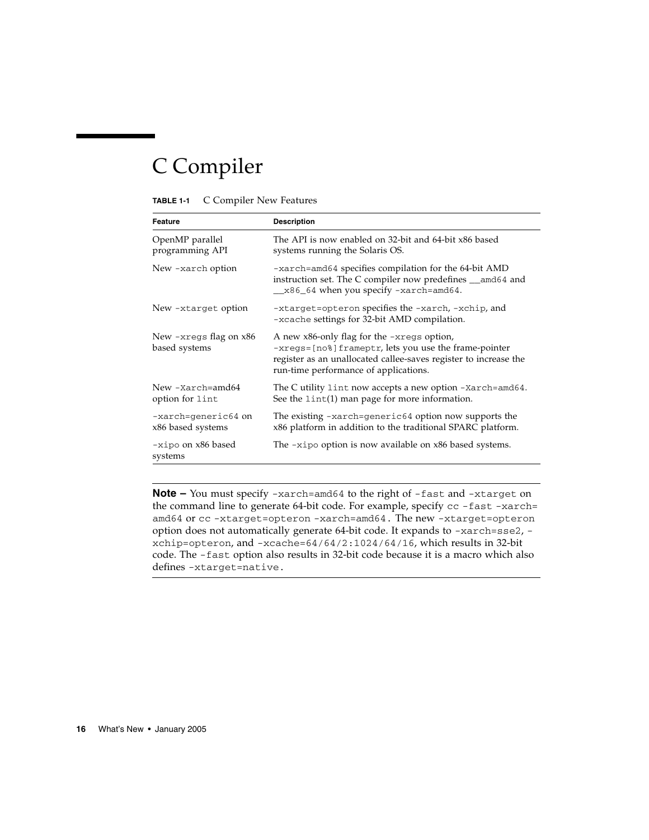# <span id="page-15-0"></span>C Compiler

| <b>TABLE 1-1</b> |  | C Compiler New Features |  |
|------------------|--|-------------------------|--|
|------------------|--|-------------------------|--|

| Feature                                      | <b>Description</b>                                                                                                                                                                                               |  |  |
|----------------------------------------------|------------------------------------------------------------------------------------------------------------------------------------------------------------------------------------------------------------------|--|--|
| OpenMP parallel<br>programming API           | The API is now enabled on 32-bit and 64-bit x86 based<br>systems running the Solaris OS.                                                                                                                         |  |  |
| New -xarch option                            | -xarch=amd64 specifies compilation for the 64-bit AMD<br>instruction set. The C compiler now predefines _amd64 and<br>$x86$ 64 when you specify -xarch=amd64.                                                    |  |  |
| New -xtarget option                          | -xtarget=opteron specifies the -xarch, -xchip, and<br>-xcache settings for 32-bit AMD compilation.                                                                                                               |  |  |
| New $-$ xregs flag on $x86$<br>based systems | A new x86-only flag for the -xregs option,<br>-xregs=[no%] frameptr, lets you use the frame-pointer<br>register as an unallocated callee-saves register to increase the<br>run-time performance of applications. |  |  |
| New -Xarch=amd64<br>option for lint          | The C utility lint now accepts a new option -Xarch=amd64.<br>See the $1int(1)$ man page for more information.                                                                                                    |  |  |
| -xarch=generic64 on<br>x86 based systems     | The existing -xarch=generic64 option now supports the<br>x86 platform in addition to the traditional SPARC platform.                                                                                             |  |  |
| $-xipo$ on $x86$ based<br>systems            | The $\mathsf{\sim}$ -xipo option is now available on x86 based systems.                                                                                                                                          |  |  |

**Note –** You must specify -xarch=amd64 to the right of -fast and -xtarget on the command line to generate 64-bit code. For example, specify cc -fast -xarch= amd64 or cc -xtarget=opteron -xarch=amd64. The new -xtarget=opteron option does not automatically generate 64-bit code. It expands to -xarch=sse2, xchip=opteron, and -xcache=64/64/2:1024/64/16, which results in 32-bit code. The -fast option also results in 32-bit code because it is a macro which also defines -xtarget=native.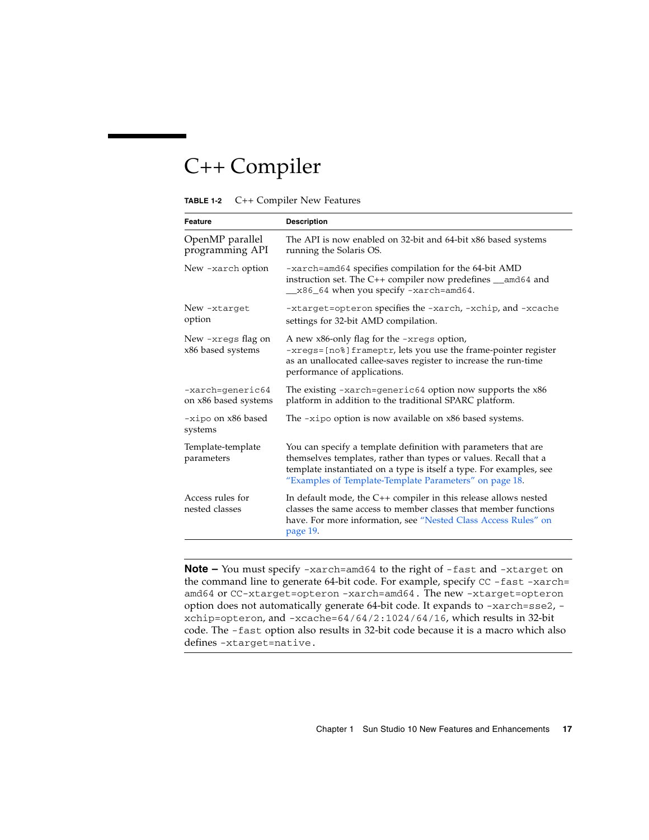## <span id="page-16-0"></span>C++ Compiler

| C++ Compiler New Features<br><b>TABLE 1-2</b> |  |
|-----------------------------------------------|--|
|-----------------------------------------------|--|

| <b>Feature</b>                           | <b>Description</b>                                                                                                                                                                                                                                                  |  |
|------------------------------------------|---------------------------------------------------------------------------------------------------------------------------------------------------------------------------------------------------------------------------------------------------------------------|--|
| OpenMP parallel<br>programming API       | The API is now enabled on 32-bit and 64-bit x86 based systems<br>running the Solaris OS.                                                                                                                                                                            |  |
| New -xarch option                        | -xarch=amd64 specifies compilation for the 64-bit AMD<br>instruction set. The C++ compiler now predefines _amd64 and<br>_x86_64 when you specify -xarch=amd64.                                                                                                      |  |
| New -xtarget<br>option                   | -xtarget=opteron specifies the -xarch, -xchip, and -xcache<br>settings for 32-bit AMD compilation.                                                                                                                                                                  |  |
| New -xregs flag on<br>x86 based systems  | A new x86-only flag for the -xregs option,<br>-xregs=[no%] frameptr, lets you use the frame-pointer register<br>as an unallocated callee-saves register to increase the run-time<br>performance of applications.                                                    |  |
| -xarch=generic64<br>on x86 based systems | The existing $-$ xarch=generic64 option now supports the $x86$<br>platform in addition to the traditional SPARC platform.                                                                                                                                           |  |
| -xipo on x86 based<br>systems            | The $\mathsf{-xipo}$ option is now available on $x86$ based systems.                                                                                                                                                                                                |  |
| Template-template<br>parameters          | You can specify a template definition with parameters that are<br>themselves templates, rather than types or values. Recall that a<br>template instantiated on a type is itself a type. For examples, see<br>"Examples of Template-Template Parameters" on page 18. |  |
| Access rules for<br>nested classes       | In default mode, the C++ compiler in this release allows nested<br>classes the same access to member classes that member functions<br>have. For more information, see "Nested Class Access Rules" on<br>page 19.                                                    |  |

**Note –** You must specify -xarch=amd64 to the right of -fast and -xtarget on the command line to generate 64-bit code. For example, specify CC -fast -xarch= amd64 or CC-xtarget=opteron -xarch=amd64. The new -xtarget=opteron option does not automatically generate 64-bit code. It expands to -xarch=sse2, xchip=opteron, and -xcache=64/64/2:1024/64/16, which results in 32-bit code. The -fast option also results in 32-bit code because it is a macro which also defines -xtarget=native.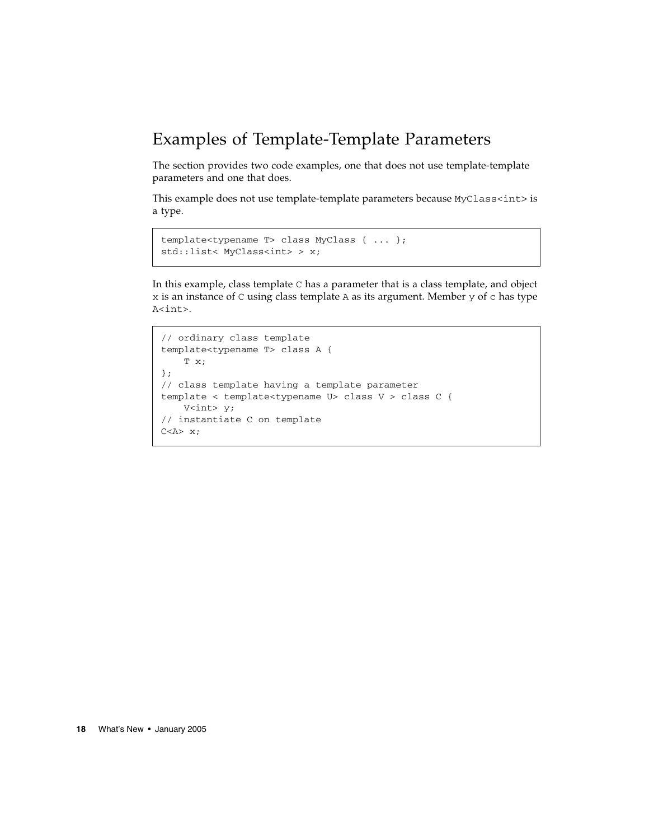#### <span id="page-17-0"></span>Examples of Template-Template Parameters

The section provides two code examples, one that does not use template-template parameters and one that does.

This example does not use template-template parameters because  $MyClass is$ a type.

```
template<typename T> class MyClass { ... }; 
std::list< MyClass<int> > x;
```
In this example, class template C has a parameter that is a class template, and object  $x$  is an instance of C using class template A as its argument. Member  $y$  of c has type A<int>.

```
// ordinary class template
template<typename T> class A {
   T x; 
};
// class template having a template parameter 
template < template<typename U> class V > class C {
   V<int> y;
// instantiate C on template
C < A > x;
```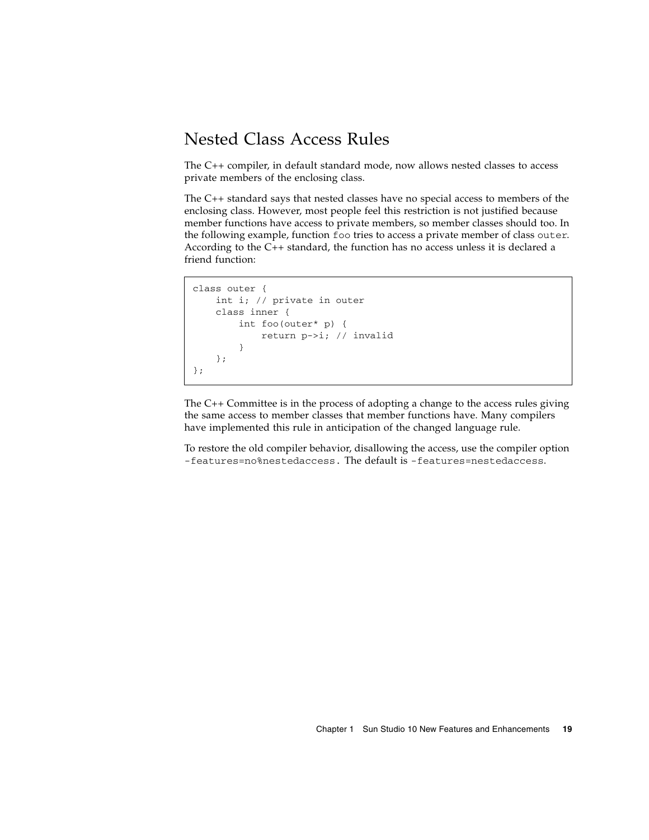#### <span id="page-18-0"></span>Nested Class Access Rules

The C++ compiler, in default standard mode, now allows nested classes to access private members of the enclosing class.

The C++ standard says that nested classes have no special access to members of the enclosing class. However, most people feel this restriction is not justified because member functions have access to private members, so member classes should too. In the following example, function foo tries to access a private member of class outer. According to the C++ standard, the function has no access unless it is declared a friend function:

```
class outer {
    int i; // private in outer
    class inner {
        int foo(outer* p) {
            return p->i; // invalid
        }
    };
};
```
The C++ Committee is in the process of adopting a change to the access rules giving the same access to member classes that member functions have. Many compilers have implemented this rule in anticipation of the changed language rule.

To restore the old compiler behavior, disallowing the access, use the compiler option -features=no%nestedaccess. The default is -features=nestedaccess.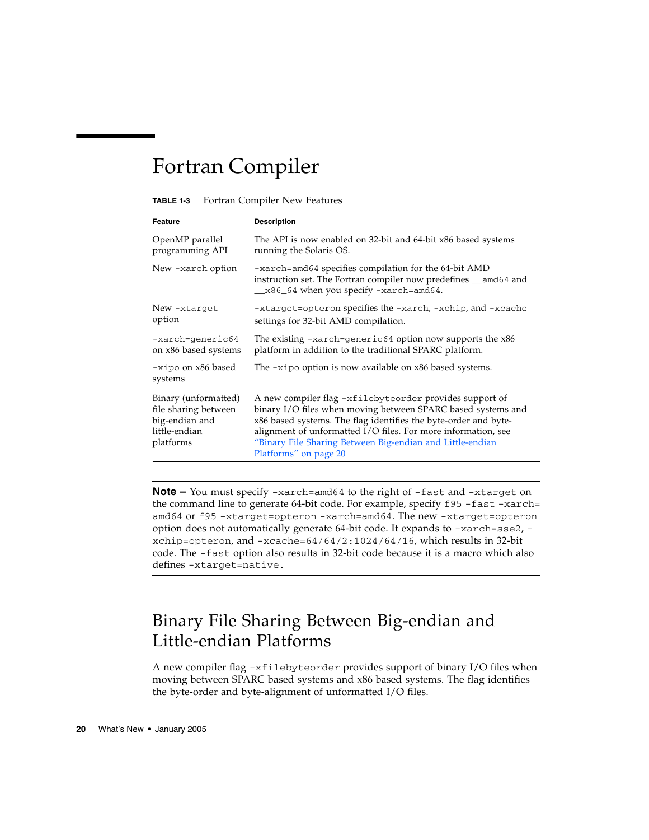## <span id="page-19-0"></span>Fortran Compiler

| TABLE 1-3 |  | Fortran Compiler New Features |  |  |
|-----------|--|-------------------------------|--|--|
|-----------|--|-------------------------------|--|--|

| <b>Feature</b>                                                                               | <b>Description</b>                                                                                                                                                                                                                                                                                                                                |  |
|----------------------------------------------------------------------------------------------|---------------------------------------------------------------------------------------------------------------------------------------------------------------------------------------------------------------------------------------------------------------------------------------------------------------------------------------------------|--|
| OpenMP parallel<br>programming API                                                           | The API is now enabled on 32-bit and 64-bit x86 based systems<br>running the Solaris OS.                                                                                                                                                                                                                                                          |  |
| New -xarch option                                                                            | -xarch=amd64 specifies compilation for the 64-bit AMD<br>instruction set. The Fortran compiler now predefines __amd64 and<br>$x86$ 64 when you specify -xarch=amd64.                                                                                                                                                                              |  |
| New -xtarget<br>option                                                                       | -xtarget=opteron specifies the -xarch, -xchip, and -xcache<br>settings for 32-bit AMD compilation.                                                                                                                                                                                                                                                |  |
| -xarch=generic64<br>on x86 based systems                                                     | The existing $-$ xarch=generic64 option now supports the $x86$<br>platform in addition to the traditional SPARC platform.                                                                                                                                                                                                                         |  |
| -xipo on x86 based<br>systems                                                                | The -xipo option is now available on x86 based systems.                                                                                                                                                                                                                                                                                           |  |
| Binary (unformatted)<br>file sharing between<br>big-endian and<br>little-endian<br>platforms | A new compiler flag -xfilebyteorder provides support of<br>binary I/O files when moving between SPARC based systems and<br>x86 based systems. The flag identifies the byte-order and byte-<br>alignment of unformatted I/O files. For more information, see<br>"Binary File Sharing Between Big-endian and Little-endian<br>Platforms" on page 20 |  |

**Note –** You must specify -xarch=amd64 to the right of -fast and -xtarget on the command line to generate 64-bit code. For example, specify f95 -fast -xarch= amd64 or f95 -xtarget=opteron -xarch=amd64. The new -xtarget=opteron option does not automatically generate  $64$ -bit code. It expands to  $-xarch=sse2$ ,  $$ xchip=opteron, and -xcache=64/64/2:1024/64/16, which results in 32-bit code. The -fast option also results in 32-bit code because it is a macro which also defines -xtarget=native.

#### <span id="page-19-1"></span>Binary File Sharing Between Big-endian and Little-endian Platforms

A new compiler flag -xfilebyteorder provides support of binary I/O files when moving between SPARC based systems and x86 based systems. The flag identifies the byte-order and byte-alignment of unformatted I/O files.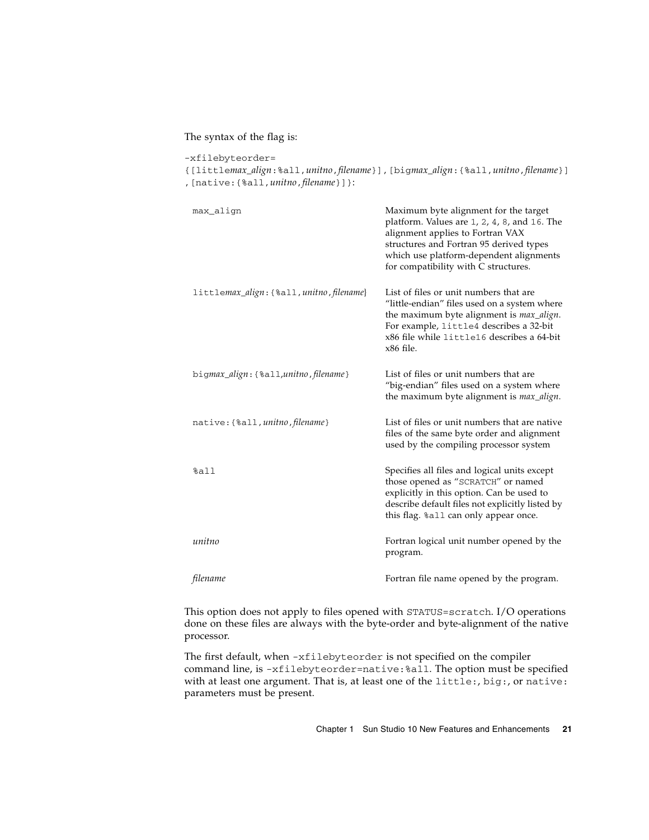#### The syntax of the flag is:

```
-xfilebyteorder=
{[littlemax_align:%all,unitno,filename}],[bigmax_align:{%all,unitno,filename}]
,[native:{%all,unitno,filename}]}:
 max_align Maximum byte alignment for the target
                                          platform. Values are 1, 2, 4, 8, and 16. The 
                                          alignment applies to Fortran VAX 
                                          structures and Fortran 95 derived types 
                                          which use platform-dependent alignments 
                                          for compatibility with C structures.
 littlemax_align:{%all,unitno,filename} List of files or unit numbers that are 
                                          "little-endian" files used on a system where 
                                          the maximum byte alignment is max_align. 
                                          For example, little4 describes a 32-bit 
                                          x86 file while little16 describes a 64-bit 
                                         x86 file. 
 bigmax_align:{%all,unitno,filename} List of files or unit numbers that are 
                                          "big-endian" files used on a system where 
                                          the maximum byte alignment is max_align.
 native:{%all,unitno,filename} List of files or unit numbers that are native 
                                          files of the same byte order and alignment 
                                          used by the compiling processor system
 %all Specifies all files and logical units except 
                                          those opened as "SCRATCH" or named 
                                          explicitly in this option. Can be used to 
                                          describe default files not explicitly listed by 
                                          this flag. %all can only appear once.
 unitno Fortran logical unit number opened by the
                                         program.
 filename Fortran file name opened by the program.
```
This option does not apply to files opened with STATUS=scratch. I/O operations done on these files are always with the byte-order and byte-alignment of the native processor.

The first default, when -xfilebyteorder is not specified on the compiler command line, is -xfilebyteorder=native:%all. The option must be specified with at least one argument. That is, at least one of the little:, big:, or native: parameters must be present.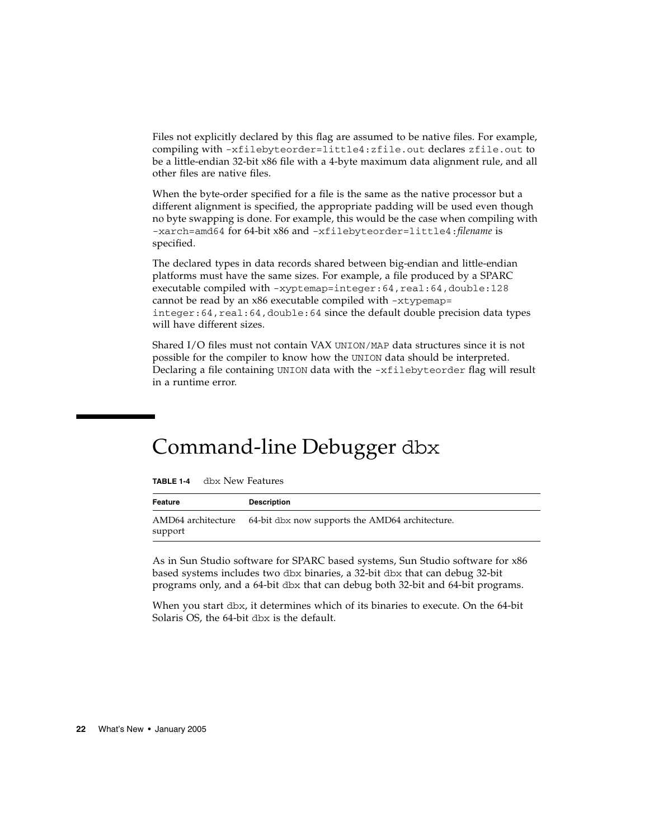Files not explicitly declared by this flag are assumed to be native files. For example, compiling with -xfilebyteorder=little4:zfile.out declares zfile.out to be a little-endian 32-bit x86 file with a 4-byte maximum data alignment rule, and all other files are native files.

When the byte-order specified for a file is the same as the native processor but a different alignment is specified, the appropriate padding will be used even though no byte swapping is done. For example, this would be the case when compiling with -xarch=amd64 for 64-bit x86 and -xfilebyteorder=little4:*filename* is specified.

The declared types in data records shared between big-endian and little-endian platforms must have the same sizes. For example, a file produced by a SPARC executable compiled with -xyptemap=integer:64,real:64,double:128 cannot be read by an x86 executable compiled with -xtypemap=  $integer:64,real:64,double:64 since the default double precision data types$ will have different sizes.

Shared I/O files must not contain VAX UNION/MAP data structures since it is not possible for the compiler to know how the UNION data should be interpreted. Declaring a file containing UNION data with the -xfilebyteorder flag will result in a runtime error.

## <span id="page-21-0"></span>Command-line Debugger dbx

| dbx New Features<br>TABLE 1-4 |
|-------------------------------|
|-------------------------------|

| Feature                       | <b>Description</b>                              |
|-------------------------------|-------------------------------------------------|
| AMD64 architecture<br>support | 64-bit dbx now supports the AMD64 architecture. |

As in Sun Studio software for SPARC based systems, Sun Studio software for x86 based systems includes two dbx binaries, a 32-bit dbx that can debug 32-bit programs only, and a 64-bit dbx that can debug both 32-bit and 64-bit programs.

When you start dbx, it determines which of its binaries to execute. On the 64-bit Solaris OS, the 64-bit dbx is the default.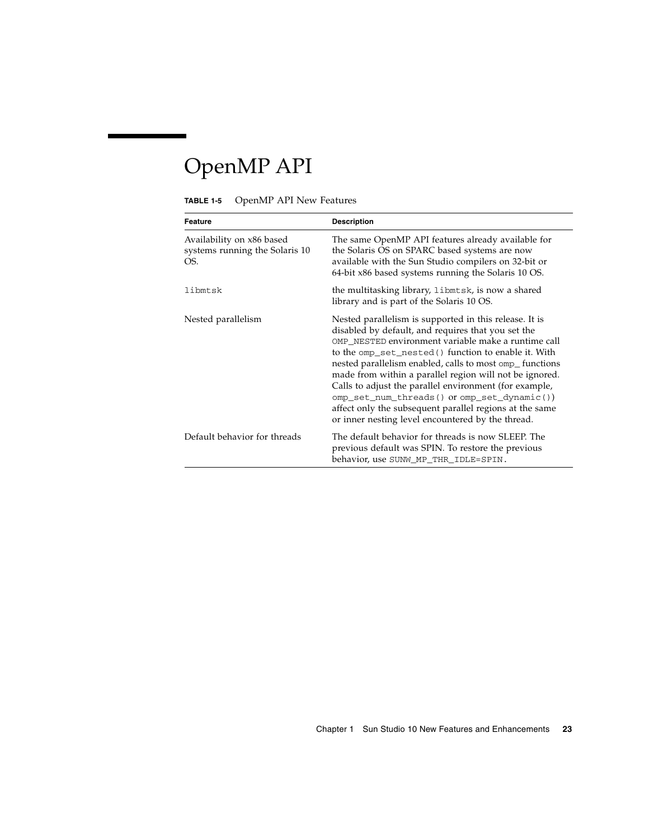# OpenMP API

<span id="page-22-0"></span>

| <b>Feature</b>                                                     | <b>Description</b>                                                                                                                                                                                                                                                                                                                                                                                                                                                                                                                                                        |
|--------------------------------------------------------------------|---------------------------------------------------------------------------------------------------------------------------------------------------------------------------------------------------------------------------------------------------------------------------------------------------------------------------------------------------------------------------------------------------------------------------------------------------------------------------------------------------------------------------------------------------------------------------|
| Availability on x86 based<br>systems running the Solaris 10<br>OS. | The same OpenMP API features already available for<br>the Solaris OS on SPARC based systems are now<br>available with the Sun Studio compilers on 32-bit or<br>64-bit x86 based systems running the Solaris 10 OS.                                                                                                                                                                                                                                                                                                                                                        |
| libmtsk                                                            | the multitasking library, libmtsk, is now a shared<br>library and is part of the Solaris 10 OS.                                                                                                                                                                                                                                                                                                                                                                                                                                                                           |
| Nested parallelism                                                 | Nested parallelism is supported in this release. It is<br>disabled by default, and requires that you set the<br>OMP NESTED environment variable make a runtime call<br>to the omp_set_nested() function to enable it. With<br>nested parallelism enabled, calls to most omp_functions<br>made from within a parallel region will not be ignored.<br>Calls to adjust the parallel environment (for example,<br>omp_set_num_threads() or omp_set_dynamic())<br>affect only the subsequent parallel regions at the same<br>or inner nesting level encountered by the thread. |
| Default behavior for threads                                       | The default behavior for threads is now SLEEP. The<br>previous default was SPIN. To restore the previous<br>behavior, use SUNW_MP_THR_IDLE=SPIN.                                                                                                                                                                                                                                                                                                                                                                                                                          |

#### **TABLE 1-5** OpenMP API New Features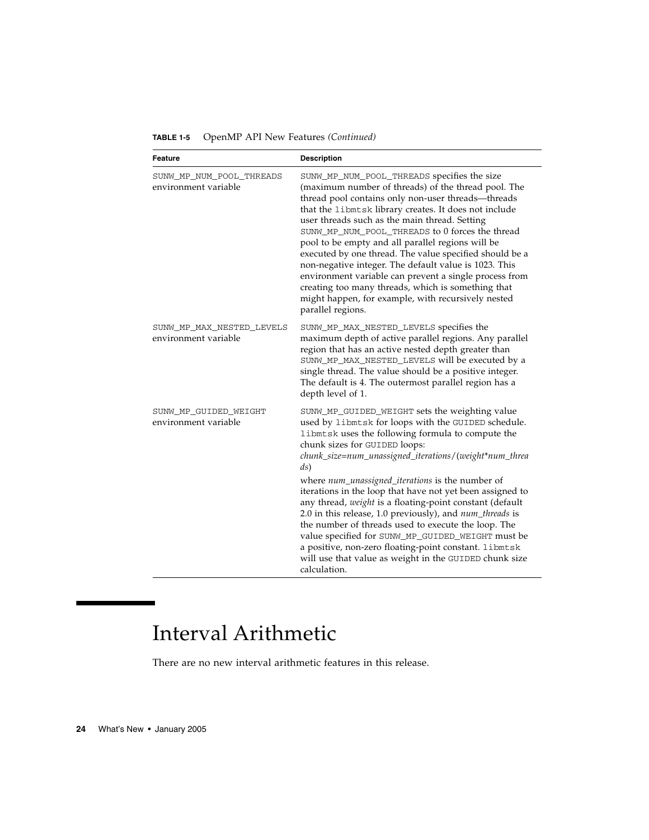| Feature                                           | <b>Description</b>                                                                                                                                                                                                                                                                                                                                                                                                                                                                                                                                                                                                                                                                                                                                          |  |  |
|---------------------------------------------------|-------------------------------------------------------------------------------------------------------------------------------------------------------------------------------------------------------------------------------------------------------------------------------------------------------------------------------------------------------------------------------------------------------------------------------------------------------------------------------------------------------------------------------------------------------------------------------------------------------------------------------------------------------------------------------------------------------------------------------------------------------------|--|--|
| SUNW_MP_NUM_POOL_THREADS<br>environment variable  | SUNW_MP_NUM_POOL_THREADS specifies the size<br>(maximum number of threads) of the thread pool. The<br>thread pool contains only non-user threads-threads<br>that the libmtsk library creates. It does not include<br>user threads such as the main thread. Setting<br>SUNW_MP_NUM_POOL_THREADS to 0 forces the thread<br>pool to be empty and all parallel regions will be<br>executed by one thread. The value specified should be a<br>non-negative integer. The default value is 1023. This<br>environment variable can prevent a single process from<br>creating too many threads, which is something that<br>might happen, for example, with recursively nested<br>parallel regions.                                                                   |  |  |
| SUNW_MP_MAX_NESTED_LEVELS<br>environment variable | SUNW_MP_MAX_NESTED_LEVELS specifies the<br>maximum depth of active parallel regions. Any parallel<br>region that has an active nested depth greater than<br>SUNW_MP_MAX_NESTED_LEVELS will be executed by a<br>single thread. The value should be a positive integer.<br>The default is 4. The outermost parallel region has a<br>depth level of 1.                                                                                                                                                                                                                                                                                                                                                                                                         |  |  |
| SUNW_MP_GUIDED_WEIGHT<br>environment variable     | SUNW_MP_GUIDED_WEIGHT sets the weighting value<br>used by libmtsk for loops with the GUIDED schedule.<br>libmtsk uses the following formula to compute the<br>chunk sizes for GUIDED loops:<br>chunk_size=num_unassigned_iterations/(weight*num_threa<br>ds)<br>where num_unassigned_iterations is the number of<br>iterations in the loop that have not yet been assigned to<br>any thread, weight is a floating-point constant (default<br>2.0 in this release, 1.0 previously), and <i>num_threads</i> is<br>the number of threads used to execute the loop. The<br>value specified for SUNW_MP_GUIDED_WEIGHT must be<br>a positive, non-zero floating-point constant. libmtsk<br>will use that value as weight in the GUIDED chunk size<br>calculation. |  |  |

#### **TABLE 1-5** OpenMP API New Features *(Continued)*

# Interval Arithmetic

There are no new interval arithmetic features in this release.

<span id="page-23-0"></span>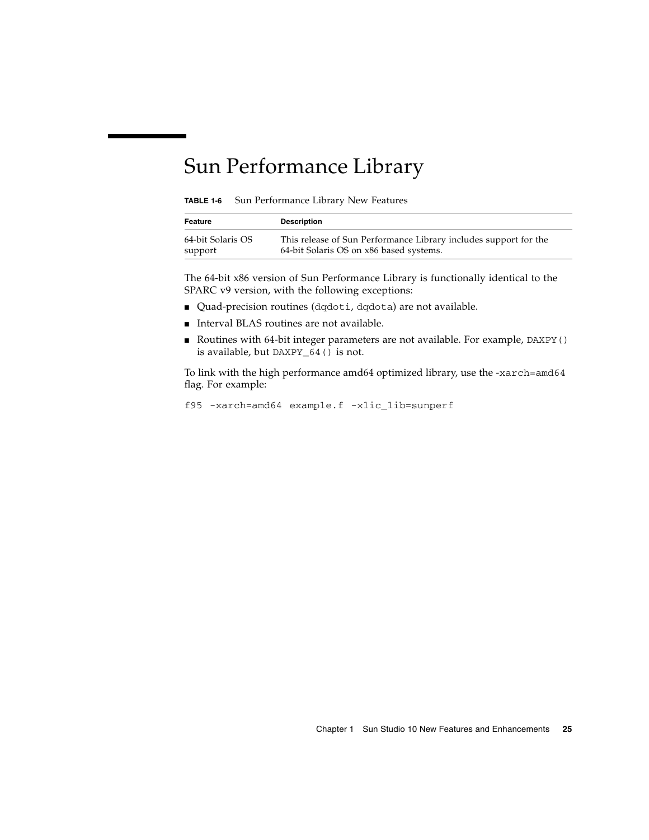## <span id="page-24-0"></span>Sun Performance Library

**TABLE 1-6** Sun Performance Library New Features

| Feature           | <b>Description</b>                                               |
|-------------------|------------------------------------------------------------------|
| 64-bit Solaris OS | This release of Sun Performance Library includes support for the |
| support           | 64-bit Solaris OS on x86 based systems.                          |

The 64-bit x86 version of Sun Performance Library is functionally identical to the SPARC v9 version, with the following exceptions:

- Quad-precision routines (dqdoti, dqdota) are not available.
- Interval BLAS routines are not available.
- Routines with 64-bit integer parameters are not available. For example, DAXPY() is available, but DAXPY\_64() is not.

To link with the high performance amd64 optimized library, use the -xarch=amd64 flag. For example:

```
f95 -xarch=amd64 example.f -xlic_lib=sunperf
```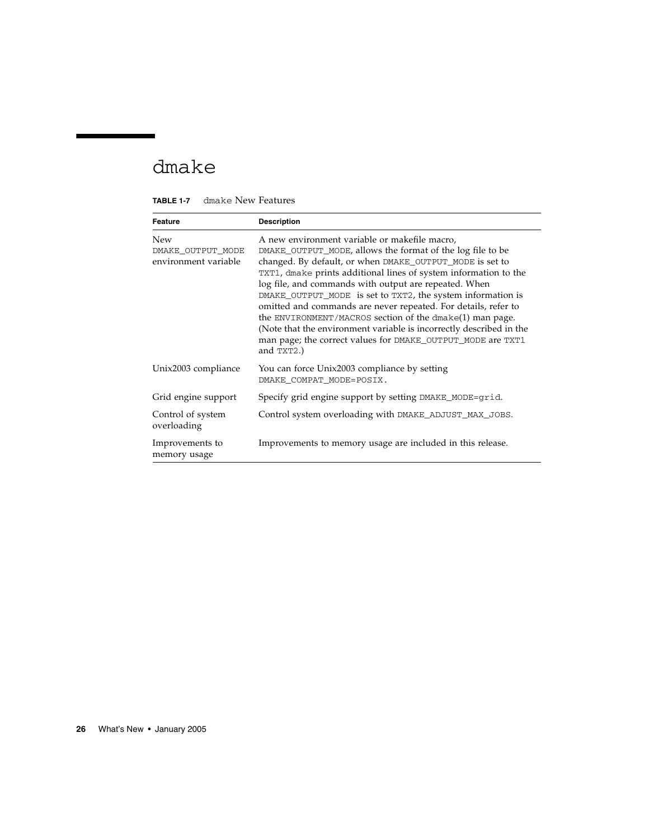## dmake

<span id="page-25-0"></span>

| <b>TABLE 1-7</b> |  | dmake New Features |
|------------------|--|--------------------|
|                  |  |                    |

| <b>Feature</b>                                          | <b>Description</b>                                                                                                                                                                                                                                                                                                                                                                                                                                                                                                                                                                                                                                    |  |
|---------------------------------------------------------|-------------------------------------------------------------------------------------------------------------------------------------------------------------------------------------------------------------------------------------------------------------------------------------------------------------------------------------------------------------------------------------------------------------------------------------------------------------------------------------------------------------------------------------------------------------------------------------------------------------------------------------------------------|--|
| <b>New</b><br>DMAKE_OUTPUT_MODE<br>environment variable | A new environment variable or makefile macro,<br>DMAKE_OUTPUT_MODE, allows the format of the log file to be<br>changed. By default, or when DMAKE_OUTPUT_MODE is set to<br>TXT1, dmake prints additional lines of system information to the<br>log file, and commands with output are repeated. When<br>DMAKE_OUTPUT_MODE is set to TXT2, the system information is<br>omitted and commands are never repeated. For details, refer to<br>the ENVIRONMENT/MACROS section of the dmake(1) man page.<br>(Note that the environment variable is incorrectly described in the<br>man page; the correct values for DMAKE_OUTPUT_MODE are TXT1<br>and TXT2.) |  |
| Unix2003 compliance                                     | You can force Unix2003 compliance by setting<br>DMAKE_COMPAT_MODE=POSIX.                                                                                                                                                                                                                                                                                                                                                                                                                                                                                                                                                                              |  |
| Grid engine support                                     | Specify grid engine support by setting DMAKE_MODE=grid.                                                                                                                                                                                                                                                                                                                                                                                                                                                                                                                                                                                               |  |
| Control of system<br>overloading                        | Control system overloading with DMAKE_ADJUST_MAX_JOBS.                                                                                                                                                                                                                                                                                                                                                                                                                                                                                                                                                                                                |  |
| Improvements to<br>memory usage                         | Improvements to memory usage are included in this release.                                                                                                                                                                                                                                                                                                                                                                                                                                                                                                                                                                                            |  |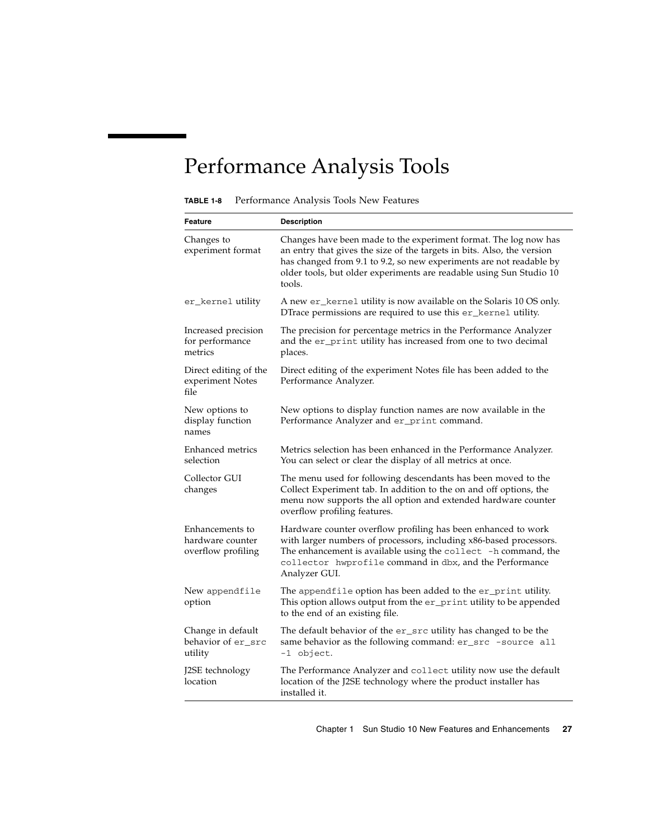# Performance Analysis Tools

| TABLE 1-8 | Performance Analysis Tools New Features |  |  |  |  |
|-----------|-----------------------------------------|--|--|--|--|
|-----------|-----------------------------------------|--|--|--|--|

<span id="page-26-0"></span>

| Feature                                                   | <b>Description</b>                                                                                                                                                                                                                                                                                 |  |
|-----------------------------------------------------------|----------------------------------------------------------------------------------------------------------------------------------------------------------------------------------------------------------------------------------------------------------------------------------------------------|--|
| Changes to<br>experiment format                           | Changes have been made to the experiment format. The log now has<br>an entry that gives the size of the targets in bits. Also, the version<br>has changed from 9.1 to 9.2, so new experiments are not readable by<br>older tools, but older experiments are readable using Sun Studio 10<br>tools. |  |
| er_kerne1 utility                                         | A new er_kerne1 utility is now available on the Solaris 10 OS only.<br>DTrace permissions are required to use this er_kernel utility.                                                                                                                                                              |  |
| Increased precision<br>for performance<br>metrics         | The precision for percentage metrics in the Performance Analyzer<br>and the er_print utility has increased from one to two decimal<br>places.                                                                                                                                                      |  |
| Direct editing of the<br>experiment Notes<br>file         | Direct editing of the experiment Notes file has been added to the<br>Performance Analyzer.                                                                                                                                                                                                         |  |
| New options to<br>display function<br>names               | New options to display function names are now available in the<br>Performance Analyzer and er_print command.                                                                                                                                                                                       |  |
| Enhanced metrics<br>selection                             | Metrics selection has been enhanced in the Performance Analyzer.<br>You can select or clear the display of all metrics at once.                                                                                                                                                                    |  |
| Collector GUI<br>changes                                  | The menu used for following descendants has been moved to the<br>Collect Experiment tab. In addition to the on and off options, the<br>menu now supports the all option and extended hardware counter<br>overflow profiling features.                                                              |  |
| Enhancements to<br>hardware counter<br>overflow profiling | Hardware counter overflow profiling has been enhanced to work<br>with larger numbers of processors, including x86-based processors.<br>The enhancement is available using the collect -h command, the<br>collector hwprofile command in dbx, and the Performance<br>Analyzer GUI.                  |  |
| New appendfile<br>option                                  | The appendfile option has been added to the er_print utility.<br>This option allows output from the er_print utility to be appended<br>to the end of an existing file.                                                                                                                             |  |
| Change in default<br>behavior of er_src<br>utility        | The default behavior of the er_src utility has changed to be the<br>same behavior as the following command: er_src -source all<br>-1 object.                                                                                                                                                       |  |
| J2SE technology<br>location                               | The Performance Analyzer and collect utility now use the default<br>location of the J2SE technology where the product installer has<br>installed it.                                                                                                                                               |  |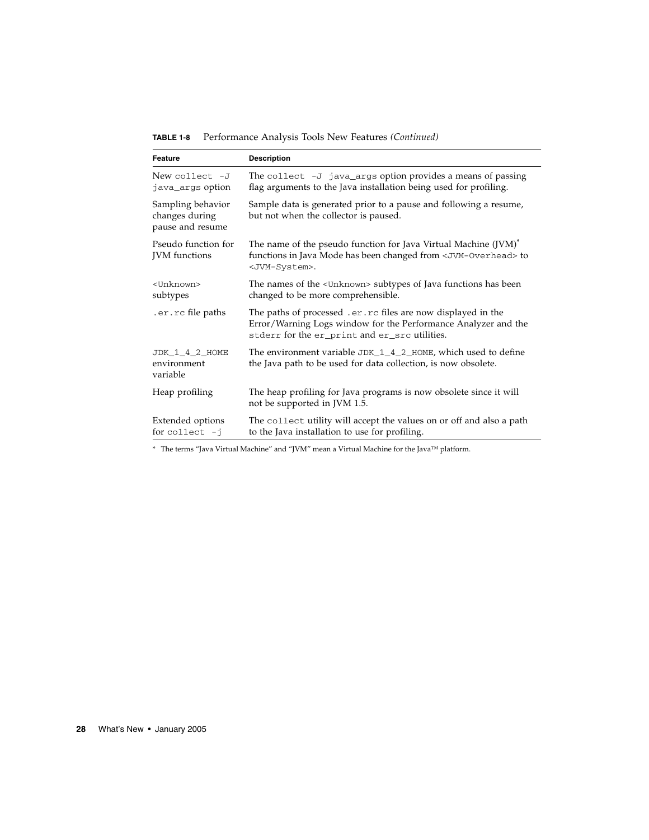| Feature                                                 | <b>Description</b>                                                                                                                                                              |
|---------------------------------------------------------|---------------------------------------------------------------------------------------------------------------------------------------------------------------------------------|
| New collect -J<br>java_args option                      | The collect $-J$ java_args option provides a means of passing<br>flag arguments to the Java installation being used for profiling.                                              |
| Sampling behavior<br>changes during<br>pause and resume | Sample data is generated prior to a pause and following a resume,<br>but not when the collector is paused.                                                                      |
| Pseudo function for<br><b>JVM</b> functions             | The name of the pseudo function for Java Virtual Machine (JVM)*<br>functions in Java Mode has been changed from <jvm-overhead> to<br/><jvm-system>.</jvm-system></jvm-overhead> |
| <unknown><br/>subtypes</unknown>                        | The names of the <unknown> subtypes of Java functions has been<br/>changed to be more comprehensible.</unknown>                                                                 |
| .er.rc file paths                                       | The paths of processed .er.rc files are now displayed in the<br>Error/Warning Logs window for the Performance Analyzer and the<br>stderr for the er_print and er_src utilities. |
| JDK_1_4_2_HOME<br>environment<br>variable               | The environment variable JDK_1_4_2_HOME, which used to define<br>the Java path to be used for data collection, is now obsolete.                                                 |
| Heap profiling                                          | The heap profiling for Java programs is now obsolete since it will<br>not be supported in JVM 1.5.                                                                              |
| Extended options<br>for collect $-j$                    | The collect utility will accept the values on or off and also a path<br>to the Java installation to use for profiling.                                                          |

**TABLE 1-8** Performance Analysis Tools New Features *(Continued)*

 $^*$  The terms "Java Virtual Machine" and "JVM" mean a Virtual Machine for the Java™ platform.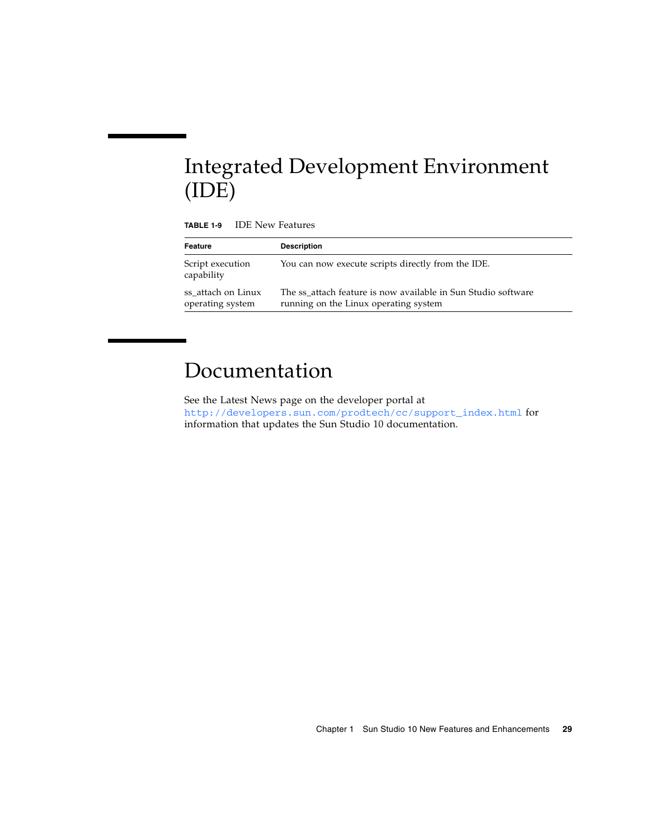## <span id="page-28-0"></span>Integrated Development Environment (IDE)

| Feature                                | <b>Description</b>                                                                                     |
|----------------------------------------|--------------------------------------------------------------------------------------------------------|
| Script execution<br>capability         | You can now execute scripts directly from the IDE.                                                     |
| ss attach on Linux<br>operating system | The ss attach feature is now available in Sun Studio software<br>running on the Linux operating system |

### <span id="page-28-1"></span>Documentation

See the Latest News page on the developer portal at [http://developers.sun.com/prodtech/cc/support\\_index.html](http://developers.sun.com/prodtech/cc/support_index.html) for information that updates the Sun Studio 10 documentation.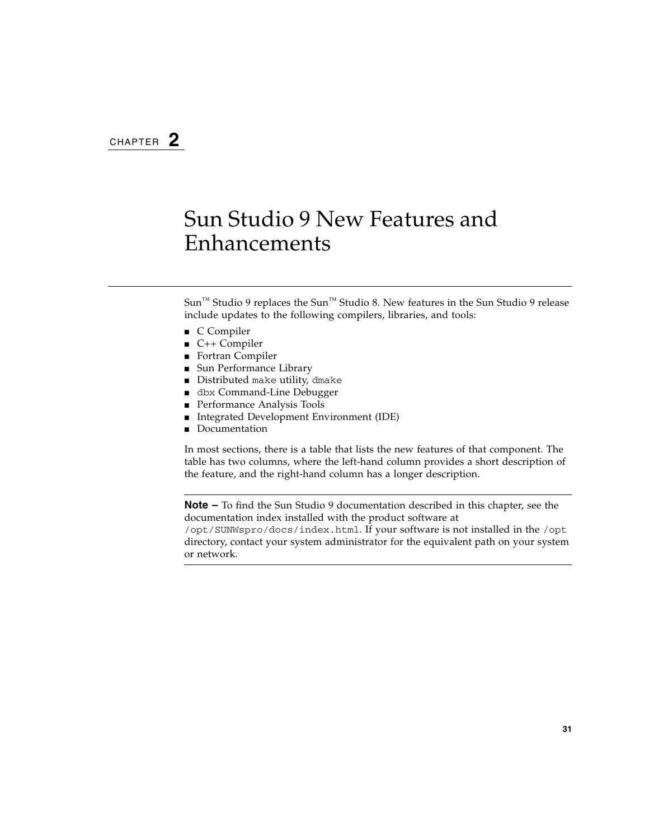## <span id="page-30-0"></span>Sun Studio 9 New Features and Enhancements

Sun<sup>™</sup> Studio 9 replaces the Sun<sup>™</sup> Studio 8. New features in the Sun Studio 9 release include updates to the following compilers, libraries, and tools:

- C Compiler
- C++ Compiler
- Fortran Compiler
- Sun Performance Library
- Distributed make utility, dmake
- dbx Command-Line Debugger
- Performance Analysis Tools
- Integrated Development Environment (IDE)
- Documentation

In most sections, there is a table that lists the new features of that component. The table has two columns, where the left-hand column provides a short description of the feature, and the right-hand column has a longer description.

**Note –** To find the Sun Studio 9 documentation described in this chapter, see the documentation index installed with the product software at

/opt/SUNWspro/docs/index.html. If your software is not installed in the /opt directory, contact your system administrator for the equivalent path on your system or network.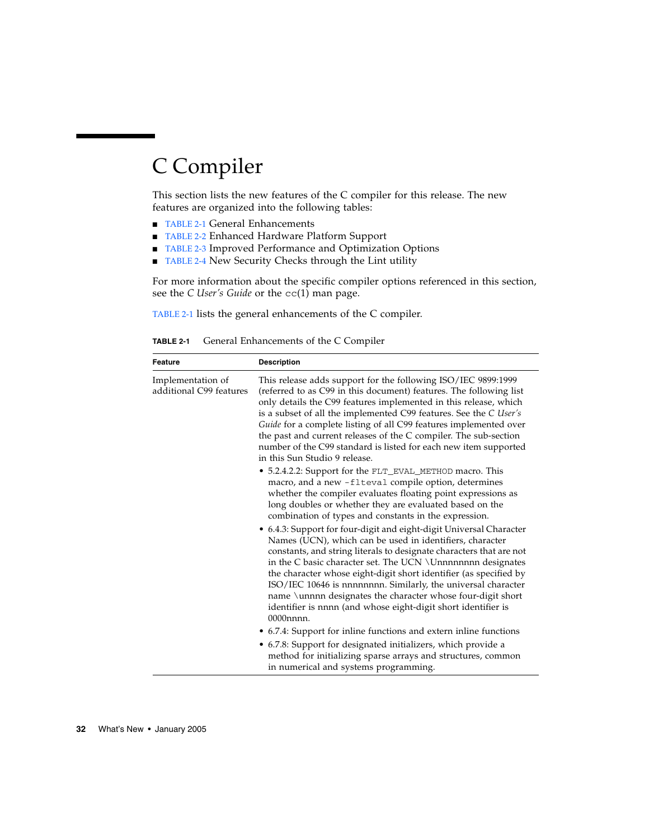# <span id="page-31-0"></span>C Compiler

This section lists the new features of the C compiler for this release. The new features are organized into the following tables:

- [TABLE](#page-31-1) 2-1 General Enhancements
- [TABLE](#page-33-0) 2-2 Enhanced Hardware Platform Support
- [TABLE](#page-34-0) 2-3 Improved Performance and Optimization Options
- [TABLE](#page-36-0) 2-4 New Security Checks through the Lint utility

For more information about the specific compiler options referenced in this section, see the *C User's Guide* or the cc(1) man page.

[TABLE](#page-31-1) 2-1 lists the general enhancements of the C compiler.

| TABLE 2-1 |  | General Enhancements of the C Compiler |  |  |  |  |
|-----------|--|----------------------------------------|--|--|--|--|
|-----------|--|----------------------------------------|--|--|--|--|

<span id="page-31-1"></span>

| <b>Feature</b>                               | <b>Description</b>                                                                                                                                                                                                                                                                                                                                                                                                                                                                                                                                          |
|----------------------------------------------|-------------------------------------------------------------------------------------------------------------------------------------------------------------------------------------------------------------------------------------------------------------------------------------------------------------------------------------------------------------------------------------------------------------------------------------------------------------------------------------------------------------------------------------------------------------|
| Implementation of<br>additional C99 features | This release adds support for the following ISO/IEC 9899:1999<br>(referred to as C99 in this document) features. The following list<br>only details the C99 features implemented in this release, which<br>is a subset of all the implemented C99 features. See the C User's<br>Guide for a complete listing of all C99 features implemented over<br>the past and current releases of the C compiler. The sub-section<br>number of the C99 standard is listed for each new item supported<br>in this Sun Studio 9 release.                                  |
|                                              | • 5.2.4.2.2: Support for the FLT_EVAL_METHOD macro. This<br>macro, and a new -flteval compile option, determines<br>whether the compiler evaluates floating point expressions as<br>long doubles or whether they are evaluated based on the<br>combination of types and constants in the expression.                                                                                                                                                                                                                                                        |
|                                              | • 6.4.3: Support for four-digit and eight-digit Universal Character<br>Names (UCN), which can be used in identifiers, character<br>constants, and string literals to designate characters that are not<br>in the C basic character set. The UCN \Unnnnnnnn designates<br>the character whose eight-digit short identifier (as specified by<br>ISO/IEC 10646 is nnnnnnnn. Similarly, the universal character<br>name \unnnn designates the character whose four-digit short<br>identifier is nnnn (and whose eight-digit short identifier is<br>$0000$ nnnn. |
|                                              | • 6.7.4: Support for inline functions and extern inline functions<br>• 6.7.8: Support for designated initializers, which provide a<br>method for initializing sparse arrays and structures, common<br>in numerical and systems programming.                                                                                                                                                                                                                                                                                                                 |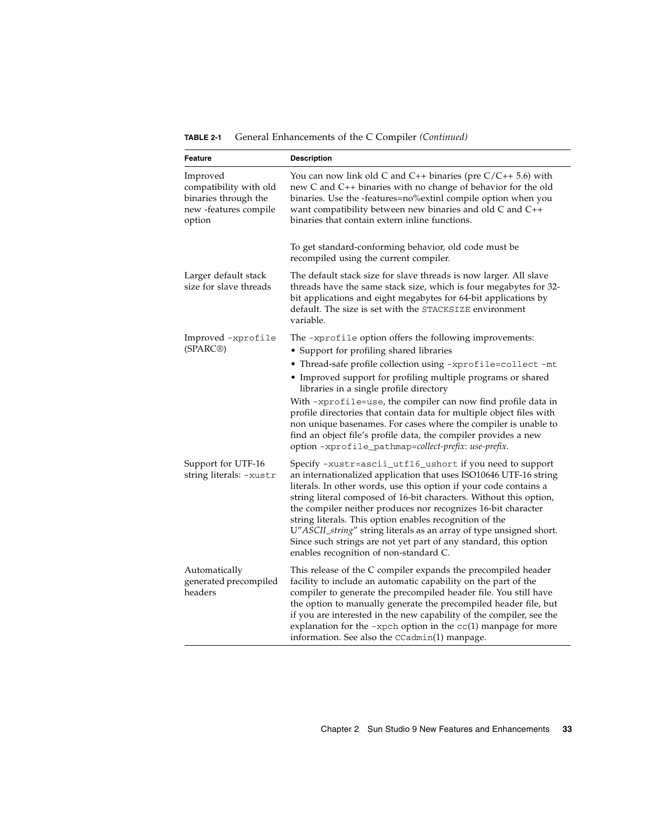| Feature                                                                                       | <b>Description</b>                                                                                                                                                                                                                                                                                                                                                                                                                                                                                                                                                                                                       |
|-----------------------------------------------------------------------------------------------|--------------------------------------------------------------------------------------------------------------------------------------------------------------------------------------------------------------------------------------------------------------------------------------------------------------------------------------------------------------------------------------------------------------------------------------------------------------------------------------------------------------------------------------------------------------------------------------------------------------------------|
| Improved<br>compatibility with old<br>binaries through the<br>new -features compile<br>option | You can now link old C and C++ binaries (pre $C/C++5.6$ ) with<br>new C and C++ binaries with no change of behavior for the old<br>binaries. Use the -features=no%extinl compile option when you<br>want compatibility between new binaries and old C and C++<br>binaries that contain extern inline functions.                                                                                                                                                                                                                                                                                                          |
|                                                                                               | To get standard-conforming behavior, old code must be<br>recompiled using the current compiler.                                                                                                                                                                                                                                                                                                                                                                                                                                                                                                                          |
| Larger default stack<br>size for slave threads                                                | The default stack size for slave threads is now larger. All slave<br>threads have the same stack size, which is four megabytes for 32-<br>bit applications and eight megabytes for 64-bit applications by<br>default. The size is set with the STACKSIZE environment<br>variable.                                                                                                                                                                                                                                                                                                                                        |
| Improved-xprofile<br>(SPARC <sup>®</sup> )                                                    | The -xprofile option offers the following improvements:<br>Support for profiling shared libraries<br>٠<br>• Thread-safe profile collection using -xprofile=collect -mt<br>• Improved support for profiling multiple programs or shared<br>libraries in a single profile directory<br>With -xprofile=use, the compiler can now find profile data in<br>profile directories that contain data for multiple object files with<br>non unique basenames. For cases where the compiler is unable to<br>find an object file's profile data, the compiler provides a new<br>option -xprofile_pathmap=collect-prefix: use-prefix. |
| Support for UTF-16<br>string literals: -xustr                                                 | Specify -xustr=ascii_utf16_ushort if you need to support<br>an internationalized application that uses ISO10646 UTF-16 string<br>literals. In other words, use this option if your code contains a<br>string literal composed of 16-bit characters. Without this option,<br>the compiler neither produces nor recognizes 16-bit character<br>string literals. This option enables recognition of the<br>U"ASCII_string" string literals as an array of type unsigned short.<br>Since such strings are not yet part of any standard, this option<br>enables recognition of non-standard C.                                |
| Automatically<br>generated precompiled<br>headers                                             | This release of the C compiler expands the precompiled header<br>facility to include an automatic capability on the part of the<br>compiler to generate the precompiled header file. You still have<br>the option to manually generate the precompiled header file, but<br>if you are interested in the new capability of the compiler, see the<br>explanation for the -xpch option in the $cc(1)$ manpage for more<br>information. See also the CCadmin(1) manpage.                                                                                                                                                     |

**TABLE 2-1** General Enhancements of the C Compiler *(Continued)*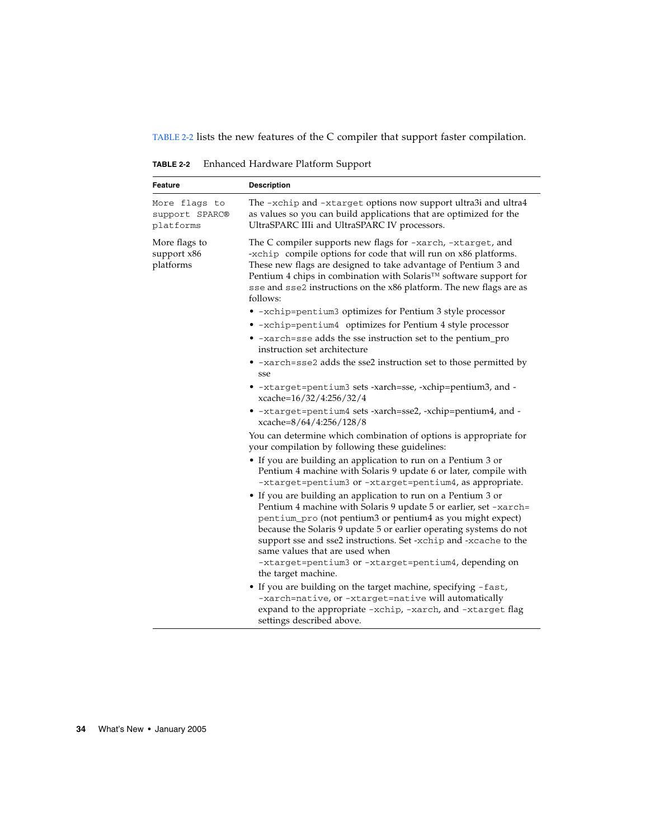[TABLE](#page-33-0) 2-2 lists the new features of the C compiler that support faster compilation.

| Feature                                      | <b>Description</b>                                                                                                                                                                                                                                                                                                                                                                                                                                          |
|----------------------------------------------|-------------------------------------------------------------------------------------------------------------------------------------------------------------------------------------------------------------------------------------------------------------------------------------------------------------------------------------------------------------------------------------------------------------------------------------------------------------|
| More flags to<br>support SPARC®<br>platforms | The -xchip and -xtarget options now support ultra3i and ultra4<br>as values so you can build applications that are optimized for the<br>UltraSPARC IIIi and UltraSPARC IV processors.                                                                                                                                                                                                                                                                       |
| More flags to<br>support x86<br>platforms    | The C compiler supports new flags for -xarch, -xtarget, and<br>-xchip compile options for code that will run on x86 platforms.<br>These new flags are designed to take advantage of Pentium 3 and<br>Pentium 4 chips in combination with Solaris™ software support for<br>sse and sse2 instructions on the x86 platform. The new flags are as<br>follows:                                                                                                   |
|                                              | • -xchip=pentium3 optimizes for Pentium 3 style processor                                                                                                                                                                                                                                                                                                                                                                                                   |
|                                              | • -xchip=pentium4 optimizes for Pentium 4 style processor                                                                                                                                                                                                                                                                                                                                                                                                   |
|                                              | • -xarch=sse adds the sse instruction set to the pentium_pro<br>instruction set architecture                                                                                                                                                                                                                                                                                                                                                                |
|                                              | • -xarch=sse2 adds the sse2 instruction set to those permitted by<br>sse                                                                                                                                                                                                                                                                                                                                                                                    |
|                                              | • -xtarget=pentium3 sets -xarch=sse, -xchip=pentium3, and -<br>xcache=16/32/4:256/32/4                                                                                                                                                                                                                                                                                                                                                                      |
|                                              | • -xtarget=pentium4 sets -xarch=sse2, -xchip=pentium4, and -<br>xcache=8/64/4:256/128/8                                                                                                                                                                                                                                                                                                                                                                     |
|                                              | You can determine which combination of options is appropriate for<br>your compilation by following these guidelines:                                                                                                                                                                                                                                                                                                                                        |
|                                              | • If you are building an application to run on a Pentium 3 or<br>Pentium 4 machine with Solaris 9 update 6 or later, compile with<br>-xtarget=pentium3 or -xtarget=pentium4, as appropriate.                                                                                                                                                                                                                                                                |
|                                              | • If you are building an application to run on a Pentium 3 or<br>Pentium 4 machine with Solaris 9 update 5 or earlier, set -xarch=<br>pentium_pro (not pentium3 or pentium4 as you might expect)<br>because the Solaris 9 update 5 or earlier operating systems do not<br>support sse and sse2 instructions. Set -xchip and -xcache to the<br>same values that are used when<br>-xtarget=pentium3 or -xtarget=pentium4, depending on<br>the target machine. |
|                                              | • If you are building on the target machine, specifying -fast,<br>-xarch=native, or -xtarget=native will automatically<br>expand to the appropriate -xchip, -xarch, and -xtarget flag                                                                                                                                                                                                                                                                       |

settings described above.

<span id="page-33-0"></span>**TABLE 2-2** Enhanced Hardware Platform Support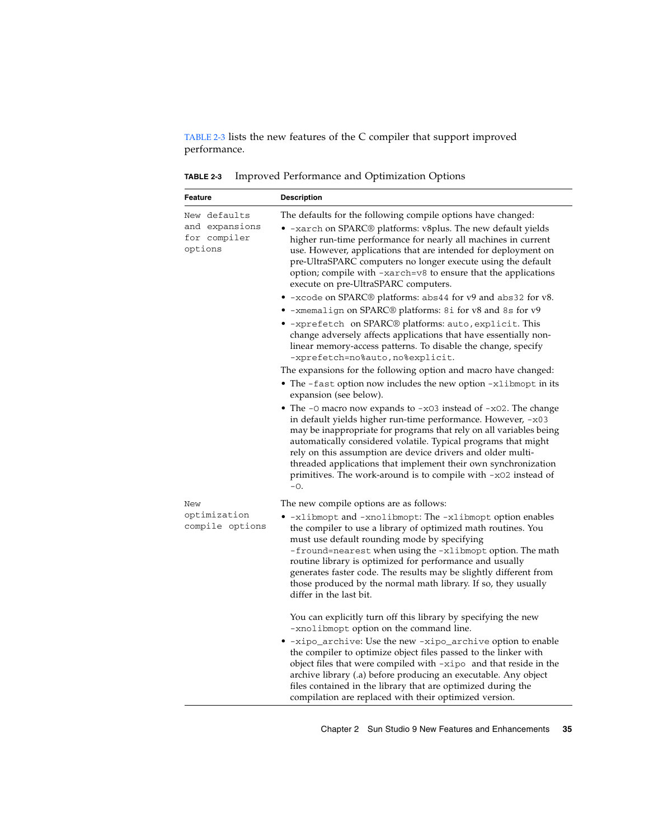[TABLE](#page-34-0) 2-3 lists the new features of the C compiler that support improved performance.

<span id="page-34-0"></span>

| <b>Feature</b>                                            | <b>Description</b>                                                                                                                                                                                                                                                                                                                                                                                                                                                                                               |
|-----------------------------------------------------------|------------------------------------------------------------------------------------------------------------------------------------------------------------------------------------------------------------------------------------------------------------------------------------------------------------------------------------------------------------------------------------------------------------------------------------------------------------------------------------------------------------------|
| New defaults<br>and expansions<br>for compiler<br>options | The defaults for the following compile options have changed:<br>• -xarch on SPARC® platforms: v8plus. The new default yields<br>higher run-time performance for nearly all machines in current<br>use. However, applications that are intended for deployment on<br>pre-UltraSPARC computers no longer execute using the default<br>option; compile with -xarch=v8 to ensure that the applications<br>execute on pre-UltraSPARC computers.                                                                       |
|                                                           | • -xcode on SPARC® platforms: abs44 for v9 and abs32 for v8.<br>• - xmemalign on SPARC® platforms: 8i for v8 and 8s for v9<br>• -xprefetch on SPARC® platforms: auto, explicit. This<br>change adversely affects applications that have essentially non-<br>linear memory-access patterns. To disable the change, specify<br>-xprefetch=no%auto,no%explicit.                                                                                                                                                     |
|                                                           | The expansions for the following option and macro have changed:<br>• The -fast option now includes the new option -xlibmopt in its<br>expansion (see below).                                                                                                                                                                                                                                                                                                                                                     |
|                                                           | • The $-0$ macro now expands to $-x03$ instead of $-x02$ . The change<br>in default yields higher run-time performance. However, -x03<br>may be inappropriate for programs that rely on all variables being<br>automatically considered volatile. Typical programs that might<br>rely on this assumption are device drivers and older multi-<br>threaded applications that implement their own synchronization<br>primitives. The work-around is to compile with -x02 instead of<br>$-0.$                        |
| New<br>optimization<br>compile options                    | The new compile options are as follows:<br>• -xlibmopt and -xnolibmopt: The -xlibmopt option enables<br>the compiler to use a library of optimized math routines. You<br>must use default rounding mode by specifying<br>-fround=nearest when using the -xlibmopt option. The math<br>routine library is optimized for performance and usually<br>generates faster code. The results may be slightly different from<br>those produced by the normal math library. If so, they usually<br>differ in the last bit. |
|                                                           | You can explicitly turn off this library by specifying the new<br>-xnolibmopt option on the command line.<br>• -xipo_archive: Use the new -xipo_archive option to enable<br>the compiler to optimize object files passed to the linker with<br>object files that were compiled with -xipo and that reside in the<br>archive library (.a) before producing an executable. Any object<br>files contained in the library that are optimized during the<br>compilation are replaced with their optimized version.    |

**TABLE 2-3** Improved Performance and Optimization Options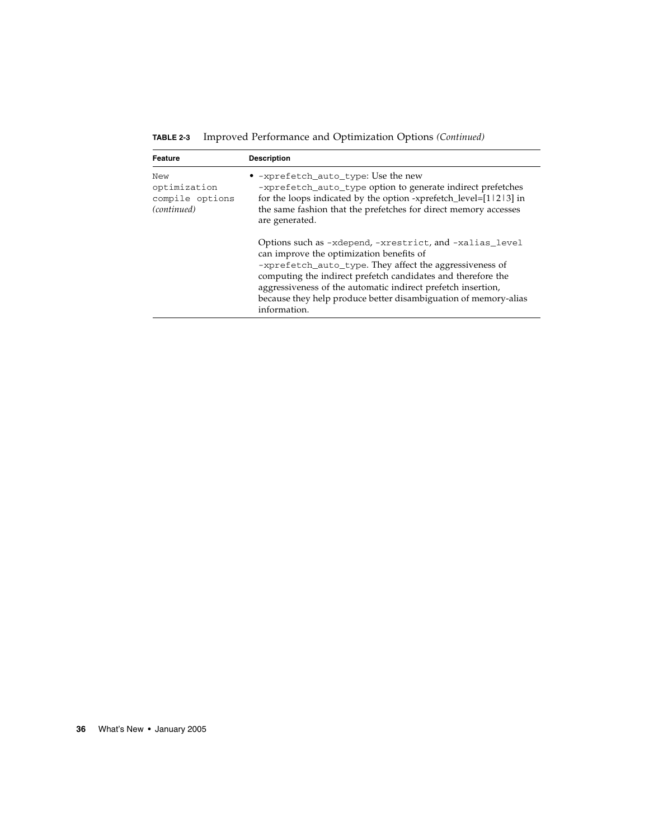| Feature                                               | <b>Description</b>                                                                                                                                                                                                                                                                                                                                                                |
|-------------------------------------------------------|-----------------------------------------------------------------------------------------------------------------------------------------------------------------------------------------------------------------------------------------------------------------------------------------------------------------------------------------------------------------------------------|
| New<br>optimization<br>compile options<br>(continued) | • -xprefetch auto type: Use the new<br>-xprefetch_auto_type option to generate indirect prefetches<br>for the loops indicated by the option -xprefetch_level= $[1 2 3]$ in<br>the same fashion that the prefetches for direct memory accesses<br>are generated.                                                                                                                   |
|                                                       | Options such as -xdepend, -xrestrict, and -xalias_level<br>can improve the optimization benefits of<br>-xprefetch_auto_type. They affect the aggressiveness of<br>computing the indirect prefetch candidates and therefore the<br>aggressiveness of the automatic indirect prefetch insertion,<br>because they help produce better disambiguation of memory-alias<br>information. |

**TABLE 2-3** Improved Performance and Optimization Options *(Continued)*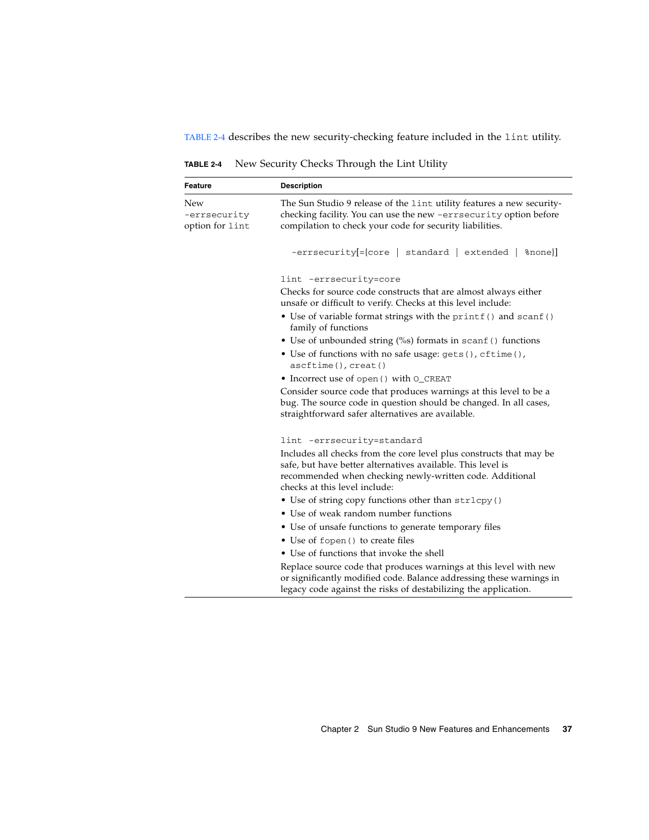[TABLE](#page-36-0) 2-4 describes the new security-checking feature included in the lint utility.

<span id="page-36-0"></span>

| Feature                                | <b>Description</b>                                                                                                                                                                                                              |
|----------------------------------------|---------------------------------------------------------------------------------------------------------------------------------------------------------------------------------------------------------------------------------|
| New<br>-errsecurity<br>option for lint | The Sun Studio 9 release of the lint utility features a new security-<br>checking facility. You can use the new -errsecurity option before<br>compilation to check your code for security liabilities.                          |
|                                        | -errsecurity = {core   standard   extended   %none}                                                                                                                                                                             |
|                                        | lint -errsecurity=core                                                                                                                                                                                                          |
|                                        | Checks for source code constructs that are almost always either<br>unsafe or difficult to verify. Checks at this level include:                                                                                                 |
|                                        | • Use of variable format strings with the printf() and scanf()<br>family of functions                                                                                                                                           |
|                                        | • Use of unbounded string (%s) formats in scanf () functions                                                                                                                                                                    |
|                                        | • Use of functions with no safe usage: gets (), cftime (),<br>ascftime(), creat()                                                                                                                                               |
|                                        | • Incorrect use of open () with $O_{\text{CREAT}}$                                                                                                                                                                              |
|                                        | Consider source code that produces warnings at this level to be a<br>bug. The source code in question should be changed. In all cases,<br>straightforward safer alternatives are available.                                     |
|                                        | lint -errsecurity=standard                                                                                                                                                                                                      |
|                                        | Includes all checks from the core level plus constructs that may be<br>safe, but have better alternatives available. This level is<br>recommended when checking newly-written code. Additional<br>checks at this level include: |
|                                        | • Use of string copy functions other than strlcpy()                                                                                                                                                                             |
|                                        | • Use of weak random number functions                                                                                                                                                                                           |
|                                        | • Use of unsafe functions to generate temporary files                                                                                                                                                                           |
|                                        | • Use of fopen() to create files                                                                                                                                                                                                |
|                                        | • Use of functions that invoke the shell                                                                                                                                                                                        |
|                                        | Replace source code that produces warnings at this level with new<br>or significantly modified code. Balance addressing these warnings in<br>legacy code against the risks of destabilizing the application.                    |

**TABLE 2-4** New Security Checks Through the Lint Utility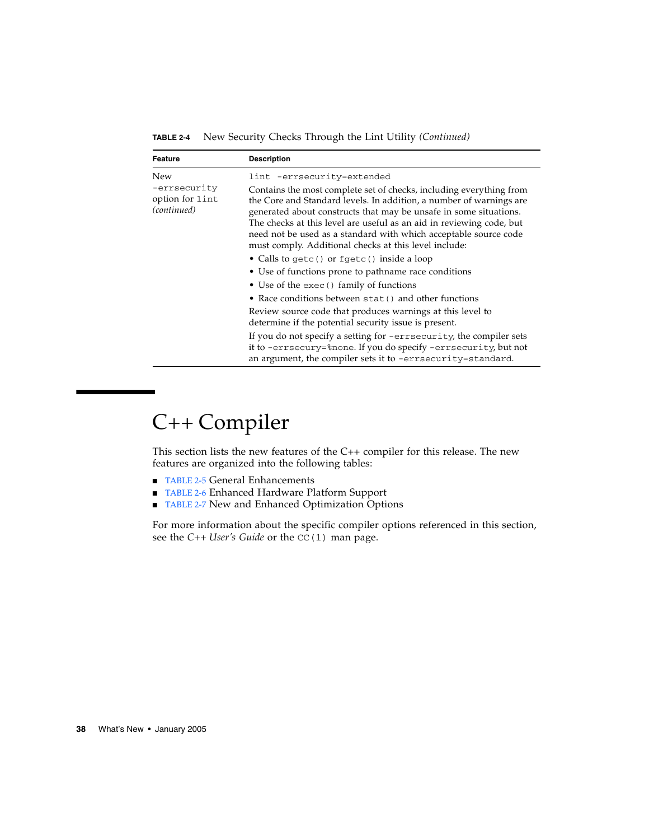| Feature                                                      | <b>Description</b>                                                                                                                                                                                                                                                                                                                                                                                                                                                                                 |
|--------------------------------------------------------------|----------------------------------------------------------------------------------------------------------------------------------------------------------------------------------------------------------------------------------------------------------------------------------------------------------------------------------------------------------------------------------------------------------------------------------------------------------------------------------------------------|
| <b>New</b><br>-errsecurity<br>option for lint<br>(continued) | lint -errsecurity=extended<br>Contains the most complete set of checks, including everything from<br>the Core and Standard levels. In addition, a number of warnings are<br>generated about constructs that may be unsafe in some situations.<br>The checks at this level are useful as an aid in reviewing code, but<br>need not be used as a standard with which acceptable source code<br>must comply. Additional checks at this level include:<br>• Calls to getc () or fgetc () inside a loop |
|                                                              | • Use of functions prone to pathname race conditions<br>• Use of the exec () family of functions<br>• Race conditions between stat() and other functions<br>Review source code that produces warnings at this level to<br>determine if the potential security issue is present.<br>If you do not specify a setting for -errsecurity, the compiler sets<br>it to -errsecury=%none. If you do specify -errsecurity, but not<br>an argument, the compiler sets it to -errsecurity=standard.           |

**TABLE 2-4** New Security Checks Through the Lint Utility *(Continued)*

# <span id="page-37-0"></span>C++ Compiler

This section lists the new features of the C++ compiler for this release. The new features are organized into the following tables:

- [TABLE](#page-38-0) 2-5 General Enhancements
- [TABLE](#page-39-0) 2-6 Enhanced Hardware Platform Support
- [TABLE](#page-40-0) 2-7 New and Enhanced Optimization Options

For more information about the specific compiler options referenced in this section, see the *C++ User's Guide* or the CC(1) man page.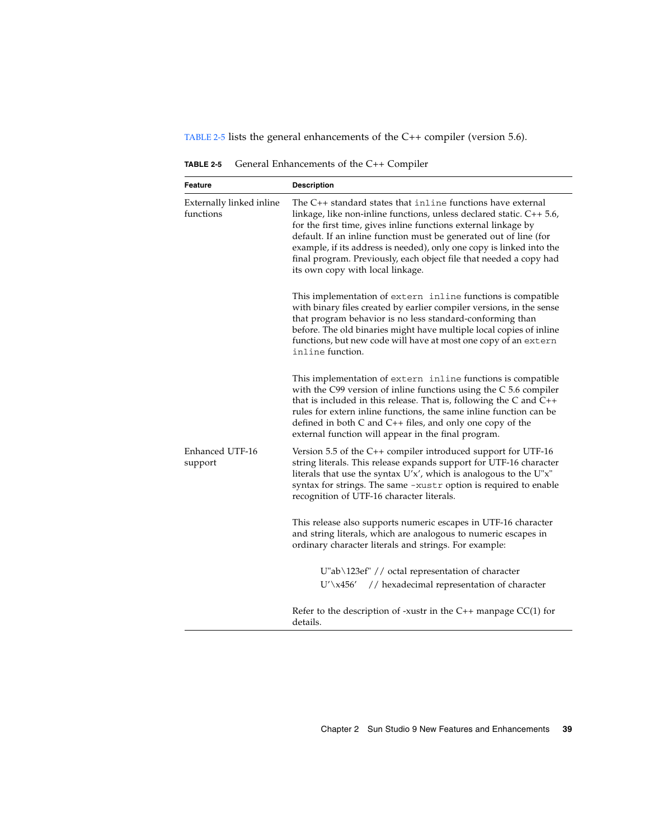[TABLE](#page-38-0) 2-5 lists the general enhancements of the C++ compiler (version 5.6).

<span id="page-38-0"></span>

| <b>Feature</b>                        | <b>Description</b>                                                                                                                                                                                                                                                                                                                                                                                                                                             |
|---------------------------------------|----------------------------------------------------------------------------------------------------------------------------------------------------------------------------------------------------------------------------------------------------------------------------------------------------------------------------------------------------------------------------------------------------------------------------------------------------------------|
| Externally linked inline<br>functions | The C++ standard states that inline functions have external<br>linkage, like non-inline functions, unless declared static. $C++5.6$ ,<br>for the first time, gives inline functions external linkage by<br>default. If an inline function must be generated out of line (for<br>example, if its address is needed), only one copy is linked into the<br>final program. Previously, each object file that needed a copy had<br>its own copy with local linkage. |
|                                       | This implementation of extern inline functions is compatible<br>with binary files created by earlier compiler versions, in the sense<br>that program behavior is no less standard-conforming than<br>before. The old binaries might have multiple local copies of inline<br>functions, but new code will have at most one copy of an extern<br>inline function.                                                                                                |
|                                       | This implementation of extern inline functions is compatible<br>with the $C99$ version of inline functions using the $C$ 5.6 compiler<br>that is included in this release. That is, following the $C$ and $C++$<br>rules for extern inline functions, the same inline function can be<br>defined in both $C$ and $C++$ files, and only one copy of the<br>external function will appear in the final program.                                                  |
| Enhanced UTF-16<br>support            | Version 5.5 of the $C++$ compiler introduced support for UTF-16<br>string literals. This release expands support for UTF-16 character<br>literals that use the syntax U'x', which is analogous to the U"x"<br>syntax for strings. The same -xustr option is required to enable<br>recognition of UTF-16 character literals.                                                                                                                                    |
|                                       | This release also supports numeric escapes in UTF-16 character<br>and string literals, which are analogous to numeric escapes in<br>ordinary character literals and strings. For example:                                                                                                                                                                                                                                                                      |
|                                       | $U$ "ab $\123ef$ " // octal representation of character                                                                                                                                                                                                                                                                                                                                                                                                        |
|                                       | $U'\x456'$ // hexadecimal representation of character                                                                                                                                                                                                                                                                                                                                                                                                          |
|                                       | Refer to the description of -xustr in the $C_{++}$ manpage $CC(1)$ for<br>details.                                                                                                                                                                                                                                                                                                                                                                             |

**TABLE 2-5** General Enhancements of the C++ Compiler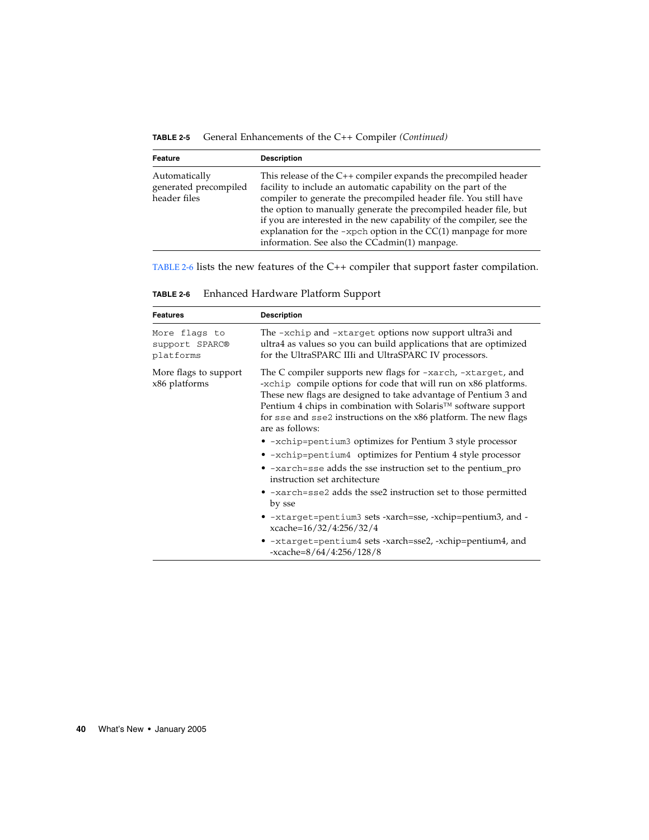| Feature                                                | <b>Description</b>                                                                                                                                                                                                                                                                                                                                                                                                                                                            |
|--------------------------------------------------------|-------------------------------------------------------------------------------------------------------------------------------------------------------------------------------------------------------------------------------------------------------------------------------------------------------------------------------------------------------------------------------------------------------------------------------------------------------------------------------|
| Automatically<br>generated precompiled<br>header files | This release of the $C_{++}$ compiler expands the precompiled header<br>facility to include an automatic capability on the part of the<br>compiler to generate the precompiled header file. You still have<br>the option to manually generate the precompiled header file, but<br>if you are interested in the new capability of the compiler, see the<br>explanation for the $-xpch$ option in the $CC(1)$ manpage for more<br>information. See also the CCadmin(1) manpage. |

**TABLE 2-5** General Enhancements of the C++ Compiler *(Continued)*

[TABLE](#page-39-0) 2-6 lists the new features of the C++ compiler that support faster compilation.

<span id="page-39-0"></span>**TABLE 2-6** Enhanced Hardware Platform Support

| <b>Features</b>                              | <b>Description</b>                                                                                                                                                                                                                                                                                                                                        |
|----------------------------------------------|-----------------------------------------------------------------------------------------------------------------------------------------------------------------------------------------------------------------------------------------------------------------------------------------------------------------------------------------------------------|
| More flags to<br>support SPARC®<br>platforms | The -xchip and -xtarget options now support ultra3i and<br>ultra4 as values so you can build applications that are optimized<br>for the UltraSPARC IIIi and UltraSPARC IV processors.                                                                                                                                                                     |
| More flags to support<br>x86 platforms       | The C compiler supports new flags for -xarch, -xtarget, and<br>-xchip compile options for code that will run on x86 platforms.<br>These new flags are designed to take advantage of Pentium 3 and<br>Pentium 4 chips in combination with Solaris™ software support<br>for sse and sse2 instructions on the x86 platform. The new flags<br>are as follows: |
|                                              | • -xchip=pentium3 optimizes for Pentium 3 style processor                                                                                                                                                                                                                                                                                                 |
|                                              | • -xchip=pentium4 optimizes for Pentium 4 style processor                                                                                                                                                                                                                                                                                                 |
|                                              | • -xarch=sse adds the sse instruction set to the pentium_pro<br>instruction set architecture                                                                                                                                                                                                                                                              |
|                                              | • -xarch=sse2 adds the sse2 instruction set to those permitted<br>by sse                                                                                                                                                                                                                                                                                  |
|                                              | • -xtarget=pentium3 sets -xarch=sse, -xchip=pentium3, and -<br>xcache=16/32/4:256/32/4                                                                                                                                                                                                                                                                    |
|                                              | • -xtarget=pentium4 sets -xarch=sse2, -xchip=pentium4, and<br>$-xcache=8/64/4:256/128/8$                                                                                                                                                                                                                                                                  |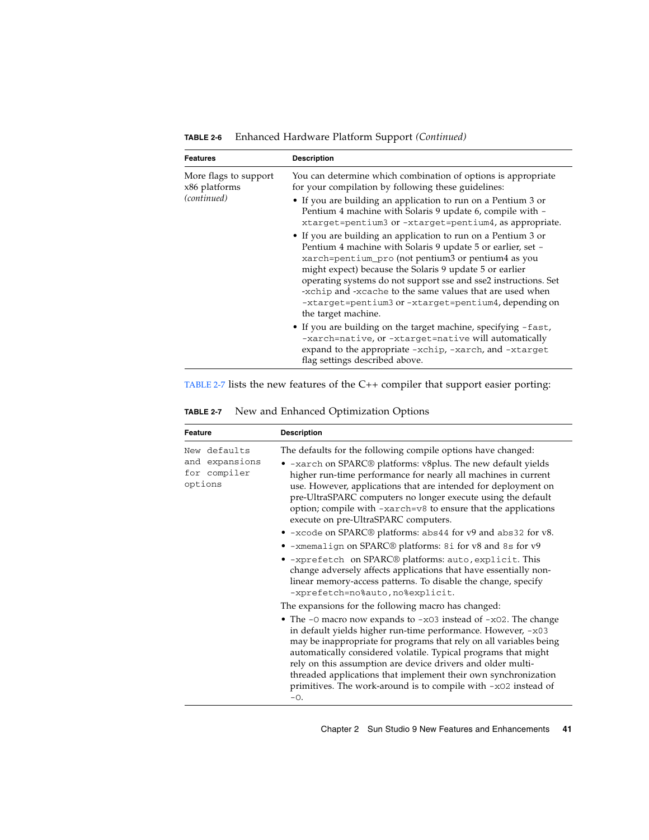| <b>Features</b>                                       | <b>Description</b>                                                                                                                                                                                                                                                                                                                                                                                                                                                                                                                                                                                                                                                                                                                                  |
|-------------------------------------------------------|-----------------------------------------------------------------------------------------------------------------------------------------------------------------------------------------------------------------------------------------------------------------------------------------------------------------------------------------------------------------------------------------------------------------------------------------------------------------------------------------------------------------------------------------------------------------------------------------------------------------------------------------------------------------------------------------------------------------------------------------------------|
| More flags to support<br>x86 platforms<br>(continued) | You can determine which combination of options is appropriate<br>for your compilation by following these guidelines:<br>• If you are building an application to run on a Pentium 3 or<br>Pentium 4 machine with Solaris 9 update 6, compile with -<br>xtarget=pentium3 or -xtarget=pentium4, as appropriate.<br>• If you are building an application to run on a Pentium 3 or<br>Pentium 4 machine with Solaris 9 update 5 or earlier, set -<br>xarch=pentium_pro (not pentium3 or pentium4 as you<br>might expect) because the Solaris 9 update 5 or earlier<br>operating systems do not support sse and sse2 instructions. Set<br>-xchip and -xcache to the same values that are used when<br>-xtarget=pentium3 or-xtarget=pentium4, depending on |
|                                                       | the target machine.<br>• If you are building on the target machine, specifying -fast,<br>-xarch=native, or -xtarget=native will automatically<br>expand to the appropriate -xchip, -xarch, and -xtarget<br>flag settings described above.                                                                                                                                                                                                                                                                                                                                                                                                                                                                                                           |

**TABLE 2-6** Enhanced Hardware Platform Support *(Continued)*

[TABLE](#page-40-0) 2-7 lists the new features of the C++ compiler that support easier porting:

| Feature                                                   | <b>Description</b>                                                                                                                                                                                                                                                                                                                                                                                                                                                                                                                                                                                                                                                                                                                                                                                         |
|-----------------------------------------------------------|------------------------------------------------------------------------------------------------------------------------------------------------------------------------------------------------------------------------------------------------------------------------------------------------------------------------------------------------------------------------------------------------------------------------------------------------------------------------------------------------------------------------------------------------------------------------------------------------------------------------------------------------------------------------------------------------------------------------------------------------------------------------------------------------------------|
| New defaults<br>and expansions<br>for compiler<br>options | The defaults for the following compile options have changed:<br>• -xarch on SPARC® platforms: v8plus. The new default yields<br>higher run-time performance for nearly all machines in current<br>use. However, applications that are intended for deployment on<br>pre-UltraSPARC computers no longer execute using the default<br>option; compile with -xarch=v8 to ensure that the applications<br>execute on pre-UltraSPARC computers.<br>• -xcode on SPARC® platforms: abs44 for v9 and abs32 for v8.<br>• -xmemalign on SPARC® platforms: 8i for v8 and 8s for v9<br>• -xprefetch on SPARC® platforms: auto, explicit. This<br>change adversely affects applications that have essentially non-<br>linear memory-access patterns. To disable the change, specify<br>-xprefetch=no%auto, no%explicit. |
|                                                           | The expansions for the following macro has changed:<br>• The $-0$ macro now expands to $-x$ 03 instead of $-x$ 02. The change<br>in default yields higher run-time performance. However, -x03<br>may be inappropriate for programs that rely on all variables being<br>automatically considered volatile. Typical programs that might<br>rely on this assumption are device drivers and older multi-<br>threaded applications that implement their own synchronization<br>primitives. The work-around is to compile with -x02 instead of<br>$-0.$                                                                                                                                                                                                                                                          |

<span id="page-40-0"></span>**TABLE 2-7** New and Enhanced Optimization Options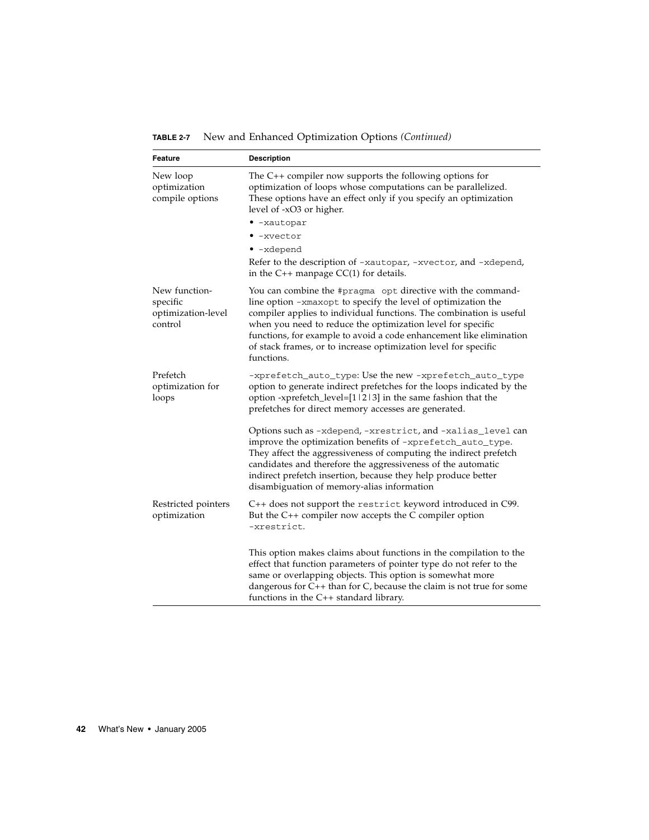| Feature                                                    | <b>Description</b>                                                                                                                                                                                                                                                                                                                                                                                                         |
|------------------------------------------------------------|----------------------------------------------------------------------------------------------------------------------------------------------------------------------------------------------------------------------------------------------------------------------------------------------------------------------------------------------------------------------------------------------------------------------------|
| New loop<br>optimization<br>compile options                | The $C++$ compiler now supports the following options for<br>optimization of loops whose computations can be parallelized.<br>These options have an effect only if you specify an optimization<br>level of -xO3 or higher.                                                                                                                                                                                                 |
|                                                            | • -xautopar                                                                                                                                                                                                                                                                                                                                                                                                                |
|                                                            | • -xvector                                                                                                                                                                                                                                                                                                                                                                                                                 |
|                                                            | $\bullet$ -xdepend                                                                                                                                                                                                                                                                                                                                                                                                         |
|                                                            | Refer to the description of -xautopar, -xvector, and -xdepend,<br>in the $C_{++}$ manpage $CC(1)$ for details.                                                                                                                                                                                                                                                                                                             |
| New function-<br>specific<br>optimization-level<br>control | You can combine the #pragma opt directive with the command-<br>line option -xmaxopt to specify the level of optimization the<br>compiler applies to individual functions. The combination is useful<br>when you need to reduce the optimization level for specific<br>functions, for example to avoid a code enhancement like elimination<br>of stack frames, or to increase optimization level for specific<br>functions. |
| Prefetch<br>optimization for<br>loops                      | -xprefetch_auto_type: Use the new -xprefetch_auto_type<br>option to generate indirect prefetches for the loops indicated by the<br>option -xprefetch_level=[1 2 3] in the same fashion that the<br>prefetches for direct memory accesses are generated.                                                                                                                                                                    |
|                                                            | Options such as -xdepend, -xrestrict, and -xalias_level can<br>improve the optimization benefits of -xprefetch_auto_type.<br>They affect the aggressiveness of computing the indirect prefetch<br>candidates and therefore the aggressiveness of the automatic<br>indirect prefetch insertion, because they help produce better<br>disambiguation of memory-alias information                                              |
| Restricted pointers<br>optimization                        | C++ does not support the restrict keyword introduced in C99.<br>But the $C++$ compiler now accepts the $C$ compiler option<br>-xrestrict.                                                                                                                                                                                                                                                                                  |
|                                                            | This option makes claims about functions in the compilation to the<br>effect that function parameters of pointer type do not refer to the<br>same or overlapping objects. This option is somewhat more<br>dangerous for C++ than for C, because the claim is not true for some<br>functions in the C++ standard library.                                                                                                   |

**TABLE 2-7** New and Enhanced Optimization Options *(Continued)*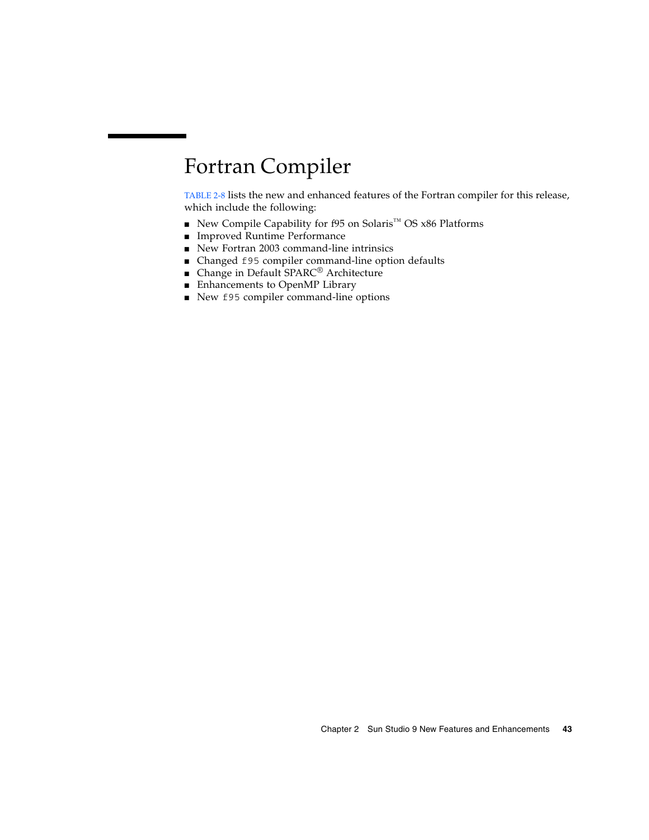# <span id="page-42-0"></span>Fortran Compiler

[TABLE](#page-43-0) 2-8 lists the new and enhanced features of the Fortran compiler for this release, which include the following:

- New Compile Capability for f95 on Solaris<sup>™</sup> OS x86 Platforms
- Improved Runtime Performance
- New Fortran 2003 command-line intrinsics
- Changed f95 compiler command-line option defaults
- Change in Default SPARC<sup>®</sup> Architecture
- Enhancements to OpenMP Library
- New f95 compiler command-line options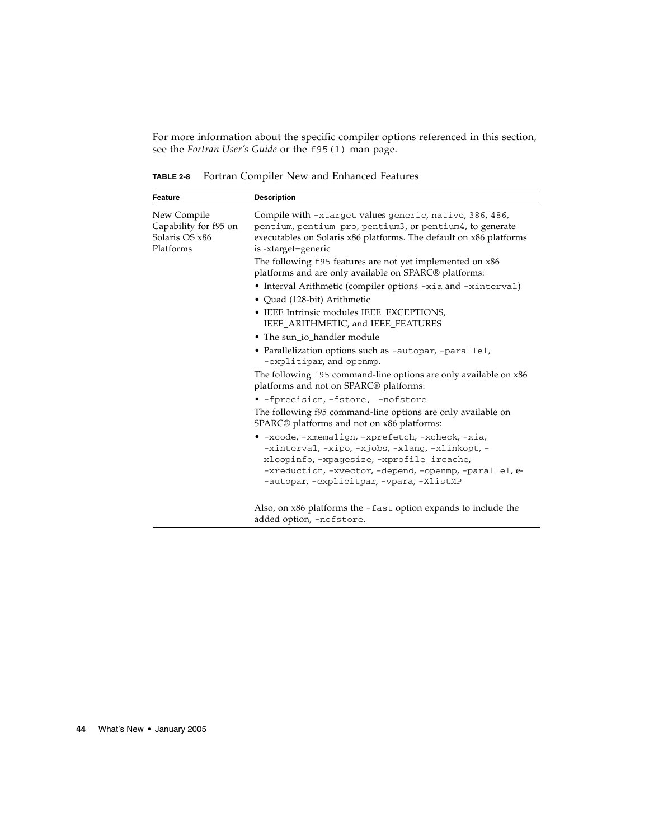For more information about the specific compiler options referenced in this section, see the *Fortran User's Guide* or the f95(1) man page.

| Feature                                                             | <b>Description</b>                                                                                                                                                                                                                                |
|---------------------------------------------------------------------|---------------------------------------------------------------------------------------------------------------------------------------------------------------------------------------------------------------------------------------------------|
| New Compile<br>Capability for f95 on<br>Solaris OS x86<br>Platforms | Compile with -xtarget values generic, native, 386, 486,<br>pentium, pentium_pro, pentium3, or pentium4, to generate<br>executables on Solaris x86 platforms. The default on x86 platforms<br>is -xtarget=generic                                  |
|                                                                     | The following f95 features are not yet implemented on x86<br>platforms and are only available on SPARC® platforms:                                                                                                                                |
|                                                                     | • Interval Arithmetic (compiler options -xia and -xinterval)                                                                                                                                                                                      |
|                                                                     | • Quad (128-bit) Arithmetic                                                                                                                                                                                                                       |
|                                                                     | · IEEE Intrinsic modules IEEE_EXCEPTIONS,<br>IEEE_ARITHMETIC, and IEEE_FEATURES                                                                                                                                                                   |
|                                                                     | • The sun io handler module                                                                                                                                                                                                                       |
|                                                                     | • Parallelization options such as -autopar, -parallel,<br>-explitipar, and openmp.                                                                                                                                                                |
|                                                                     | The following f95 command-line options are only available on x86<br>platforms and not on SPARC® platforms:                                                                                                                                        |
|                                                                     | • -fprecision, -fstore, -nofstore                                                                                                                                                                                                                 |
|                                                                     | The following f95 command-line options are only available on<br>SPARC® platforms and not on x86 platforms:                                                                                                                                        |
|                                                                     | • -xcode, -xmemalign, -xprefetch, -xcheck, -xia,<br>-xinterval, -xipo, -xjobs, -xlang, -xlinkopt, -<br>xloopinfo,-xpagesize,-xprofile_ircache,<br>-xreduction, -xvector, -depend, -openmp, -parallel, e-<br>-autopar,-explicitpar,-vpara,-XlistMP |
|                                                                     | Also, on $x86$ platforms the $-\text{fast}$ option expands to include the<br>added option, -nofstore.                                                                                                                                             |

<span id="page-43-0"></span>**TABLE 2-8** Fortran Compiler New and Enhanced Features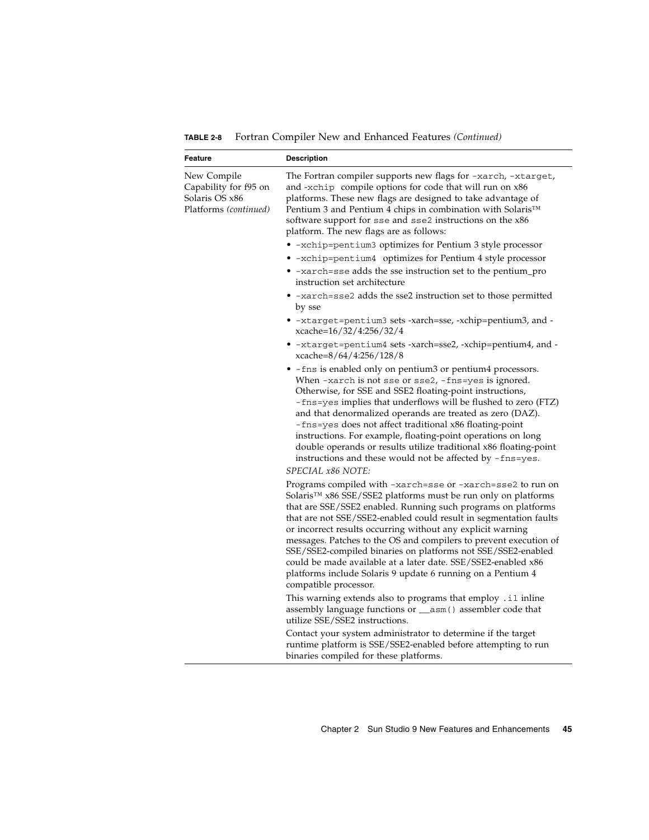| Feature                                                                         | <b>Description</b>                                                                                                                                                                                                                                                                                                                                                                                                                                                                                                                                                          |
|---------------------------------------------------------------------------------|-----------------------------------------------------------------------------------------------------------------------------------------------------------------------------------------------------------------------------------------------------------------------------------------------------------------------------------------------------------------------------------------------------------------------------------------------------------------------------------------------------------------------------------------------------------------------------|
| New Compile<br>Capability for f95 on<br>Solaris OS x86<br>Platforms (continued) | The Fortran compiler supports new flags for -xarch, -xtarget,<br>and -xchip compile options for code that will run on x86<br>platforms. These new flags are designed to take advantage of<br>Pentium 3 and Pentium 4 chips in combination with Solaris™<br>software support for sse and sse2 instructions on the x86<br>platform. The new flags are as follows:                                                                                                                                                                                                             |
|                                                                                 | • -xchip=pentium3 optimizes for Pentium 3 style processor                                                                                                                                                                                                                                                                                                                                                                                                                                                                                                                   |
|                                                                                 | • -xchip=pentium4 optimizes for Pentium 4 style processor                                                                                                                                                                                                                                                                                                                                                                                                                                                                                                                   |
|                                                                                 | • -xarch=sse adds the sse instruction set to the pentium_pro<br>instruction set architecture                                                                                                                                                                                                                                                                                                                                                                                                                                                                                |
|                                                                                 | • -xarch=sse2 adds the sse2 instruction set to those permitted<br>by sse                                                                                                                                                                                                                                                                                                                                                                                                                                                                                                    |
|                                                                                 | • -xtarget=pentium3 sets -xarch=sse, -xchip=pentium3, and -<br>xcache=16/32/4:256/32/4                                                                                                                                                                                                                                                                                                                                                                                                                                                                                      |
|                                                                                 | • -xtarget=pentium4 sets -xarch=sse2, -xchip=pentium4, and -<br>xcache=8/64/4:256/128/8                                                                                                                                                                                                                                                                                                                                                                                                                                                                                     |
|                                                                                 | • - fns is enabled only on pentium3 or pentium4 processors.<br>When -xarch is not sse or sse2, -fns=yes is ignored.<br>Otherwise, for SSE and SSE2 floating-point instructions,<br>-fns=yes implies that underflows will be flushed to zero (FTZ)<br>and that denormalized operands are treated as zero (DAZ).<br>-fns=yes does not affect traditional x86 floating-point<br>instructions. For example, floating-point operations on long<br>double operands or results utilize traditional x86 floating-point<br>instructions and these would not be affected by -fns=yes. |
|                                                                                 | SPECIAL x86 NOTE:<br>Programs compiled with -xarch=sse or -xarch=sse2 to run on<br>Solaris <sup>™</sup> x86 SSE/SSE2 platforms must be run only on platforms                                                                                                                                                                                                                                                                                                                                                                                                                |
|                                                                                 | that are SSE/SSE2 enabled. Running such programs on platforms<br>that are not SSE/SSE2-enabled could result in segmentation faults<br>or incorrect results occurring without any explicit warning<br>messages. Patches to the OS and compilers to prevent execution of<br>SSE/SSE2-compiled binaries on platforms not SSE/SSE2-enabled<br>could be made available at a later date. SSE/SSE2-enabled x86<br>platforms include Solaris 9 update 6 running on a Pentium 4<br>compatible processor.                                                                             |
|                                                                                 | This warning extends also to programs that employ .il inline<br>assembly language functions or _asm() assembler code that<br>utilize SSE/SSE2 instructions.                                                                                                                                                                                                                                                                                                                                                                                                                 |
|                                                                                 | Contact your system administrator to determine if the target<br>runtime platform is SSE/SSE2-enabled before attempting to run<br>binaries compiled for these platforms.                                                                                                                                                                                                                                                                                                                                                                                                     |

**TABLE 2-8** Fortran Compiler New and Enhanced Features *(Continued)*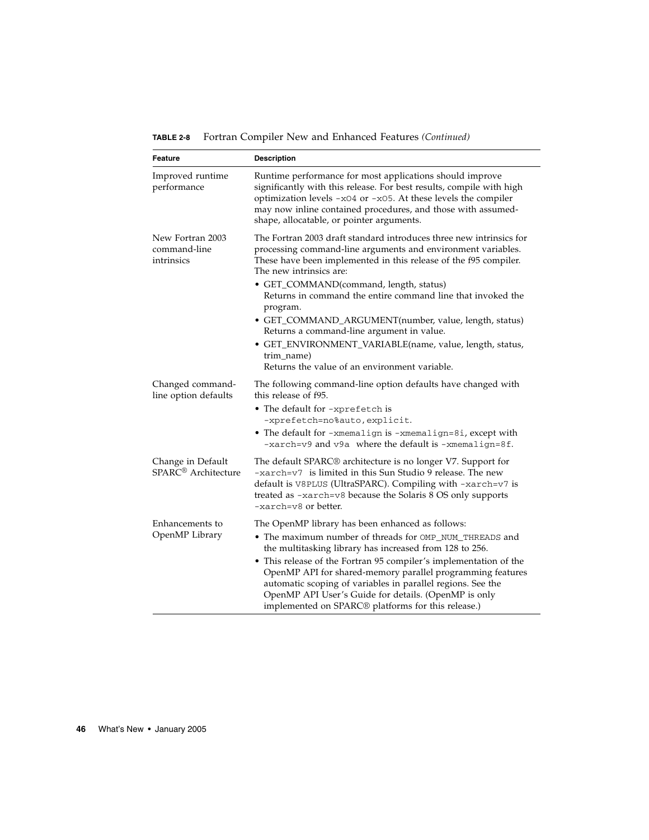| <b>Feature</b>                                       | <b>Description</b>                                                                                                                                                                                                                                                                                                                                                                                                                                                                                                                                                                      |
|------------------------------------------------------|-----------------------------------------------------------------------------------------------------------------------------------------------------------------------------------------------------------------------------------------------------------------------------------------------------------------------------------------------------------------------------------------------------------------------------------------------------------------------------------------------------------------------------------------------------------------------------------------|
| Improved runtime<br>performance                      | Runtime performance for most applications should improve<br>significantly with this release. For best results, compile with high<br>optimization levels -x04 or -x05. At these levels the compiler<br>may now inline contained procedures, and those with assumed-<br>shape, allocatable, or pointer arguments.                                                                                                                                                                                                                                                                         |
| New Fortran 2003<br>command-line<br>intrinsics       | The Fortran 2003 draft standard introduces three new intrinsics for<br>processing command-line arguments and environment variables.<br>These have been implemented in this release of the f95 compiler.<br>The new intrinsics are:<br>• GET_COMMAND(command, length, status)<br>Returns in command the entire command line that invoked the<br>program.<br>· GET_COMMAND_ARGUMENT(number, value, length, status)<br>Returns a command-line argument in value.<br>• GET_ENVIRONMENT_VARIABLE(name, value, length, status,<br>trim_name)<br>Returns the value of an environment variable. |
| Changed command-<br>line option defaults             | The following command-line option defaults have changed with<br>this release of f95.<br>• The default for -xprefetch is<br>-xprefetch=no%auto, explicit.<br>• The default for -xmemalign is -xmemalign=8i, except with<br>-xarch=v9 and v9a where the default is -xmemalign=8f.                                                                                                                                                                                                                                                                                                         |
| Change in Default<br>SPARC <sup>®</sup> Architecture | The default SPARC® architecture is no longer V7. Support for<br>-xarch=v7 is limited in this Sun Studio 9 release. The new<br>default is V8PLUS (UltraSPARC). Compiling with -xarch=v7 is<br>treated as -xarch=v8 because the Solaris 8 OS only supports<br>-xarch=v8 or better.                                                                                                                                                                                                                                                                                                        |
| Enhancements to<br>OpenMP Library                    | The OpenMP library has been enhanced as follows:<br>• The maximum number of threads for OMP_NUM_THREADS and<br>the multitasking library has increased from 128 to 256.<br>• This release of the Fortran 95 compiler's implementation of the<br>OpenMP API for shared-memory parallel programming features<br>automatic scoping of variables in parallel regions. See the<br>OpenMP API User's Guide for details. (OpenMP is only<br>implemented on SPARC® platforms for this release.)                                                                                                  |

**TABLE 2-8** Fortran Compiler New and Enhanced Features *(Continued)*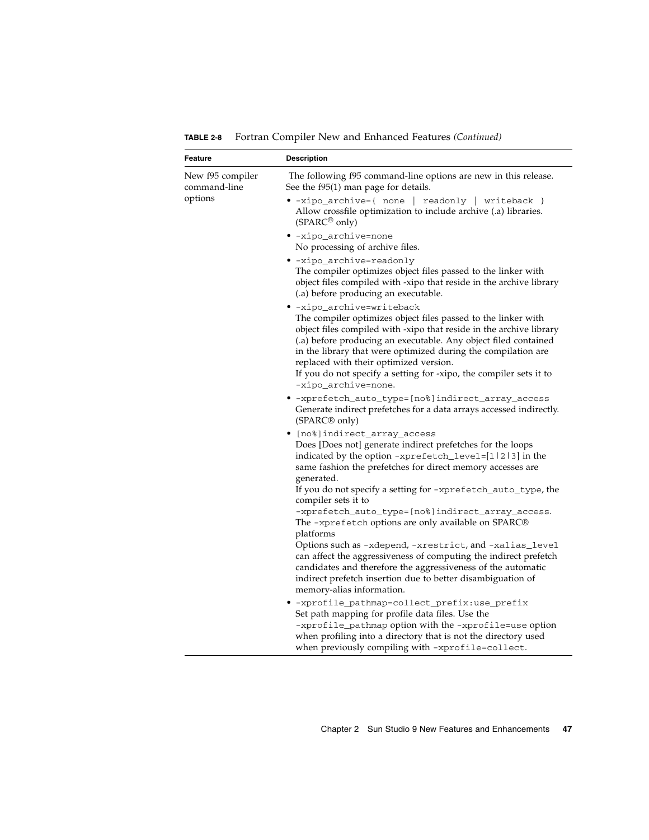| <b>Feature</b>                              | Description                                                                                                                                                                                                                                                                                                                                                                                                                                                                                                                                                                                                                                                                                                                                  |
|---------------------------------------------|----------------------------------------------------------------------------------------------------------------------------------------------------------------------------------------------------------------------------------------------------------------------------------------------------------------------------------------------------------------------------------------------------------------------------------------------------------------------------------------------------------------------------------------------------------------------------------------------------------------------------------------------------------------------------------------------------------------------------------------------|
| New f95 compiler<br>command-line<br>options | The following f95 command-line options are new in this release.<br>See the f95(1) man page for details.                                                                                                                                                                                                                                                                                                                                                                                                                                                                                                                                                                                                                                      |
|                                             | • -xipo_archive={ none   readonly   writeback }<br>Allow crossfile optimization to include archive (.a) libraries.<br>(SPARC <sup>®</sup> only)                                                                                                                                                                                                                                                                                                                                                                                                                                                                                                                                                                                              |
|                                             | • -xipo_archive=none<br>No processing of archive files.                                                                                                                                                                                                                                                                                                                                                                                                                                                                                                                                                                                                                                                                                      |
|                                             | • -xipo_archive=readonly<br>The compiler optimizes object files passed to the linker with<br>object files compiled with -xipo that reside in the archive library<br>(.a) before producing an executable.                                                                                                                                                                                                                                                                                                                                                                                                                                                                                                                                     |
|                                             | · -xipo_archive=writeback<br>The compiler optimizes object files passed to the linker with<br>object files compiled with -xipo that reside in the archive library<br>(.a) before producing an executable. Any object filed contained<br>in the library that were optimized during the compilation are<br>replaced with their optimized version.<br>If you do not specify a setting for -xipo, the compiler sets it to<br>-xipo_archive=none.                                                                                                                                                                                                                                                                                                 |
|                                             | • -xprefetch_auto_type=[no%]indirect_array_access<br>Generate indirect prefetches for a data arrays accessed indirectly.<br>(SPARC <sup>®</sup> only)                                                                                                                                                                                                                                                                                                                                                                                                                                                                                                                                                                                        |
|                                             | • [no%]indirect_array_access<br>Does [Does not] generate indirect prefetches for the loops<br>indicated by the option -xprefetch_level=[1 2 3] in the<br>same fashion the prefetches for direct memory accesses are<br>generated.<br>If you do not specify a setting for -xprefetch_auto_type, the<br>compiler sets it to<br>-xprefetch_auto_type=[no%]indirect_array_access.<br>The -xprefetch options are only available on SPARC®<br>platforms<br>Options such as -xdepend, -xrestrict, and -xalias_level<br>can affect the aggressiveness of computing the indirect prefetch<br>candidates and therefore the aggressiveness of the automatic<br>indirect prefetch insertion due to better disambiguation of<br>memory-alias information. |
|                                             | • -xprofile_pathmap=collect_prefix:use_prefix<br>Set path mapping for profile data files. Use the<br>-xprofile_pathmap option with the -xprofile=use option<br>when profiling into a directory that is not the directory used<br>when previously compiling with -xprofile=collect.                                                                                                                                                                                                                                                                                                                                                                                                                                                           |

**TABLE 2-8** Fortran Compiler New and Enhanced Features *(Continued)*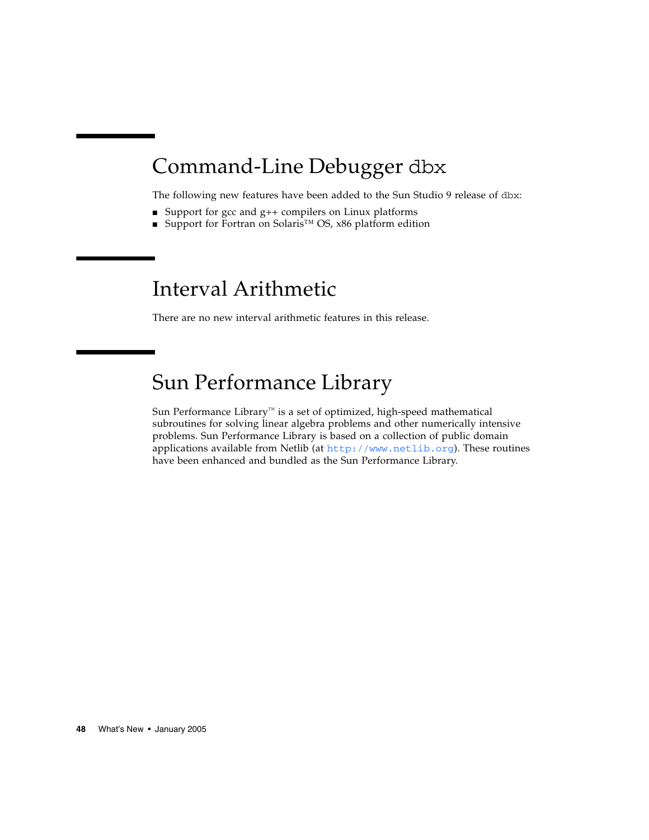## <span id="page-47-0"></span>Command-Line Debugger dbx

The following new features have been added to the Sun Studio 9 release of dbx:

- Support for gcc and  $g++$  compilers on Linux platforms
- Support for Fortran on Solaris<sup>™</sup> OS, x86 platform edition

### <span id="page-47-1"></span>Interval Arithmetic

There are no new interval arithmetic features in this release.

### <span id="page-47-2"></span>Sun Performance Library

Sun Performance Library™ is a set of optimized, high-speed mathematical subroutines for solving linear algebra problems and other numerically intensive problems. Sun Performance Library is based on a collection of public domain applications available from Netlib (at  $http://www.netlib.org)$  $http://www.netlib.org)$ . These routines have been enhanced and bundled as the Sun Performance Library.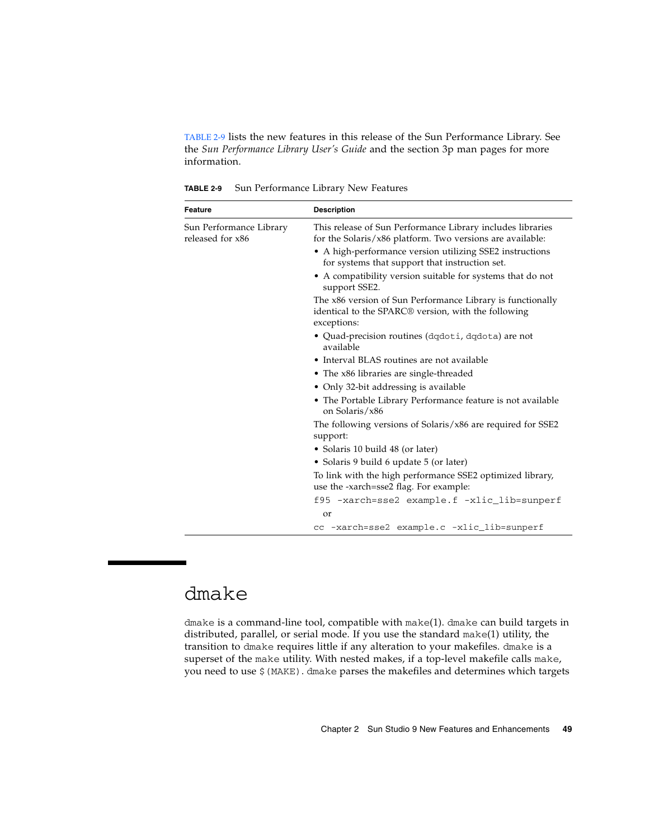[TABLE](#page-48-1) 2-9 lists the new features in this release of the Sun Performance Library. See the *Sun Performance Library User's Guide* and the section 3p man pages for more information.

<span id="page-48-1"></span>

| <b>Feature</b>                              | <b>Description</b>                                                                                                               |
|---------------------------------------------|----------------------------------------------------------------------------------------------------------------------------------|
| Sun Performance Library<br>released for x86 | This release of Sun Performance Library includes libraries<br>for the Solaris/x86 platform. Two versions are available:          |
|                                             | • A high-performance version utilizing SSE2 instructions<br>for systems that support that instruction set.                       |
|                                             | • A compatibility version suitable for systems that do not<br>support SSE2.                                                      |
|                                             | The x86 version of Sun Performance Library is functionally<br>identical to the SPARC® version, with the following<br>exceptions: |
|                                             | • Quad-precision routines (dqdoti, dqdota) are not<br>available                                                                  |
|                                             | • Interval BLAS routines are not available                                                                                       |
|                                             | • The x86 libraries are single-threaded                                                                                          |
|                                             | • Only 32-bit addressing is available                                                                                            |
|                                             | • The Portable Library Performance feature is not available<br>on Solaris/x86                                                    |
|                                             | The following versions of Solaris/x86 are required for SSE2<br>support:                                                          |
|                                             | • Solaris 10 build 48 (or later)                                                                                                 |
|                                             | • Solaris 9 build 6 update 5 (or later)                                                                                          |
|                                             | To link with the high performance SSE2 optimized library,<br>use the -xarch=sse2 flag. For example:                              |
|                                             | f95 -xarch=sse2 example.f -xlic_lib=sunperf                                                                                      |
|                                             | or                                                                                                                               |
|                                             | cc -xarch=sse2 example.c -xlic_lib=sunperf                                                                                       |

**TABLE 2-9** Sun Performance Library New Features

#### <span id="page-48-0"></span>dmake

dmake is a command-line tool, compatible with make(1). dmake can build targets in distributed, parallel, or serial mode. If you use the standard make(1) utility, the transition to dmake requires little if any alteration to your makefiles. dmake is a superset of the make utility. With nested makes, if a top-level makefile calls make, you need to use \$(MAKE). dmake parses the makefiles and determines which targets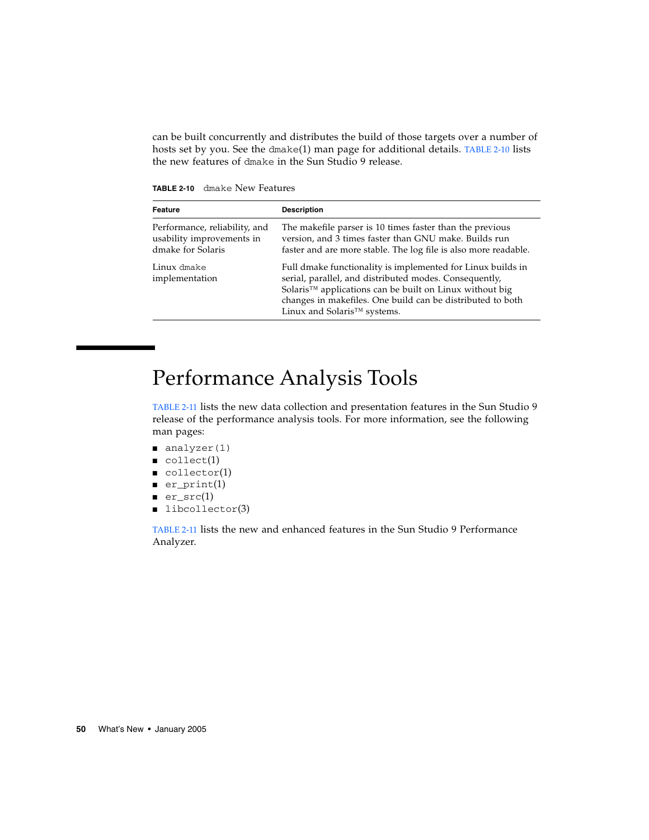can be built concurrently and distributes the build of those targets over a number of hosts set by you. See the dmake(1) man page for additional details. [TABLE](#page-49-1) 2-10 lists the new features of dmake in the Sun Studio 9 release.

<span id="page-49-1"></span>

| Feature                                                                         | <b>Description</b>                                                                                                                                                                                                                                                                                      |
|---------------------------------------------------------------------------------|---------------------------------------------------------------------------------------------------------------------------------------------------------------------------------------------------------------------------------------------------------------------------------------------------------|
| Performance, reliability, and<br>usability improvements in<br>dmake for Solaris | The makefile parser is 10 times faster than the previous<br>version, and 3 times faster than GNU make. Builds run<br>faster and are more stable. The log file is also more readable.                                                                                                                    |
| Linux dmake<br>implementation                                                   | Full dmake functionality is implemented for Linux builds in<br>serial, parallel, and distributed modes. Consequently,<br>Solaris <sup><math>TM</math></sup> applications can be built on Linux without big<br>changes in makefiles. One build can be distributed to both<br>Linux and Solaris™ systems. |

## <span id="page-49-0"></span>Performance Analysis Tools

[TABLE](#page-50-0) 2-11 lists the new data collection and presentation features in the Sun Studio 9 release of the performance analysis tools. For more information, see the following man pages:

- analyzer(1)
- collect(1)
- collector(1)
- er\_print(1)
- $er\_src(1)$
- libcollector(3)

[TABLE](#page-50-0) 2-11 lists the new and enhanced features in the Sun Studio 9 Performance Analyzer.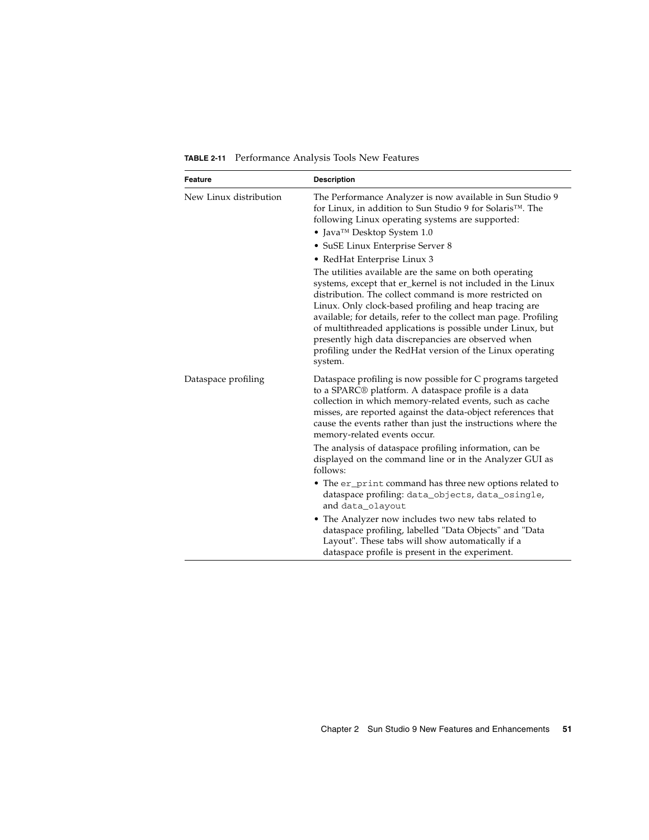<span id="page-50-0"></span>

| Feature                | <b>Description</b>                                                                                                                                                                                                                                                                                                                                                                                                                                                                                          |
|------------------------|-------------------------------------------------------------------------------------------------------------------------------------------------------------------------------------------------------------------------------------------------------------------------------------------------------------------------------------------------------------------------------------------------------------------------------------------------------------------------------------------------------------|
| New Linux distribution | The Performance Analyzer is now available in Sun Studio 9<br>for Linux, in addition to Sun Studio 9 for Solaris™. The<br>following Linux operating systems are supported:<br>• Java <sup>TM</sup> Desktop System 1.0                                                                                                                                                                                                                                                                                        |
|                        | • SuSE Linux Enterprise Server 8                                                                                                                                                                                                                                                                                                                                                                                                                                                                            |
|                        | • RedHat Enterprise Linux 3                                                                                                                                                                                                                                                                                                                                                                                                                                                                                 |
|                        | The utilities available are the same on both operating<br>systems, except that er_kernel is not included in the Linux<br>distribution. The collect command is more restricted on<br>Linux. Only clock-based profiling and heap tracing are<br>available; for details, refer to the collect man page. Profiling<br>of multithreaded applications is possible under Linux, but<br>presently high data discrepancies are observed when<br>profiling under the RedHat version of the Linux operating<br>system. |
| Dataspace profiling    | Dataspace profiling is now possible for C programs targeted<br>to a SPARC® platform. A dataspace profile is a data<br>collection in which memory-related events, such as cache<br>misses, are reported against the data-object references that<br>cause the events rather than just the instructions where the<br>memory-related events occur.                                                                                                                                                              |
|                        | The analysis of dataspace profiling information, can be<br>displayed on the command line or in the Analyzer GUI as<br>follows:                                                                                                                                                                                                                                                                                                                                                                              |
|                        | • The er_print command has three new options related to<br>dataspace profiling: data_objects, data_osingle,<br>and data_olayout                                                                                                                                                                                                                                                                                                                                                                             |
|                        | • The Analyzer now includes two new tabs related to<br>dataspace profiling, labelled "Data Objects" and "Data<br>Layout". These tabs will show automatically if a<br>dataspace profile is present in the experiment.                                                                                                                                                                                                                                                                                        |

**TABLE 2-11** Performance Analysis Tools New Features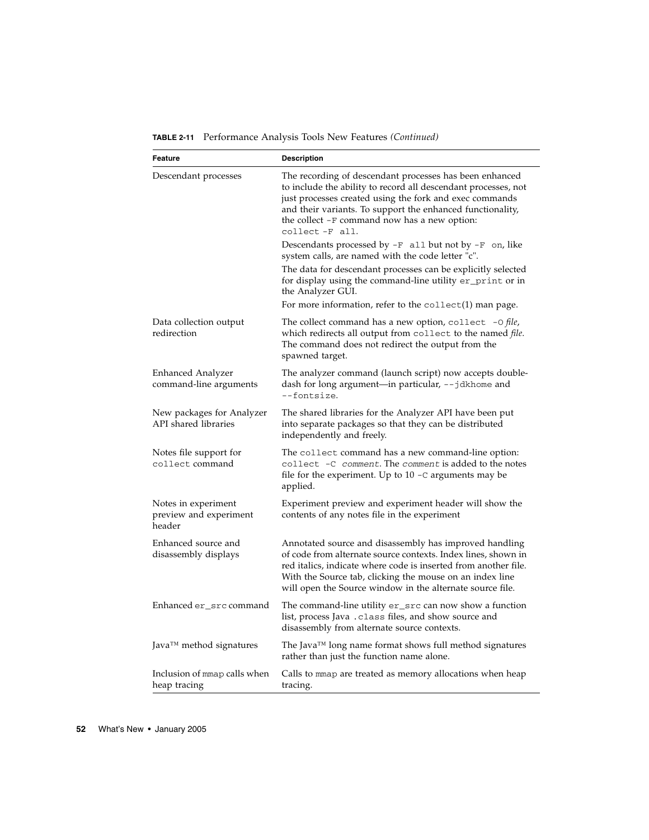| Feature                                                 | <b>Description</b>                                                                                                                                                                                                                                                                                                   |
|---------------------------------------------------------|----------------------------------------------------------------------------------------------------------------------------------------------------------------------------------------------------------------------------------------------------------------------------------------------------------------------|
| Descendant processes                                    | The recording of descendant processes has been enhanced<br>to include the ability to record all descendant processes, not<br>just processes created using the fork and exec commands<br>and their variants. To support the enhanced functionality,<br>the collect -F command now has a new option:<br>collect-F all. |
|                                                         | Descendants processed by $-F$ all but not by $-F$ on, like<br>system calls, are named with the code letter "c".                                                                                                                                                                                                      |
|                                                         | The data for descendant processes can be explicitly selected<br>for display using the command-line utility er_print or in<br>the Analyzer GUI.                                                                                                                                                                       |
|                                                         | For more information, refer to the $\text{collect}(1)$ man page.                                                                                                                                                                                                                                                     |
| Data collection output<br>redirection                   | The collect command has a new option, $\text{collect} \text{ } -0 \text{ file},$<br>which redirects all output from collect to the named file.<br>The command does not redirect the output from the<br>spawned target.                                                                                               |
| Enhanced Analyzer<br>command-line arguments             | The analyzer command (launch script) now accepts double-<br>dash for long argument-in particular, --jdkhome and<br>--fontsize.                                                                                                                                                                                       |
| New packages for Analyzer<br>API shared libraries       | The shared libraries for the Analyzer API have been put<br>into separate packages so that they can be distributed<br>independently and freely.                                                                                                                                                                       |
| Notes file support for<br>collect command               | The collect command has a new command-line option:<br>collect -C <i>comment</i> . The <i>comment</i> is added to the notes<br>file for the experiment. Up to $10$ -C arguments may be<br>applied.                                                                                                                    |
| Notes in experiment<br>preview and experiment<br>header | Experiment preview and experiment header will show the<br>contents of any notes file in the experiment                                                                                                                                                                                                               |
| Enhanced source and<br>disassembly displays             | Annotated source and disassembly has improved handling<br>of code from alternate source contexts. Index lines, shown in<br>red italics, indicate where code is inserted from another file.<br>With the Source tab, clicking the mouse on an index line<br>will open the Source window in the alternate source file.  |
| Enhanced er_src command                                 | The command-line utility er_src can now show a function<br>list, process Java .class files, and show source and<br>disassembly from alternate source contexts.                                                                                                                                                       |
| Java™ method signatures                                 | The Java <sup>TM</sup> long name format shows full method signatures<br>rather than just the function name alone.                                                                                                                                                                                                    |
| Inclusion of mmap calls when<br>heap tracing            | Calls to mmap are treated as memory allocations when heap<br>tracing.                                                                                                                                                                                                                                                |

**TABLE 2-11** Performance Analysis Tools New Features *(Continued)*